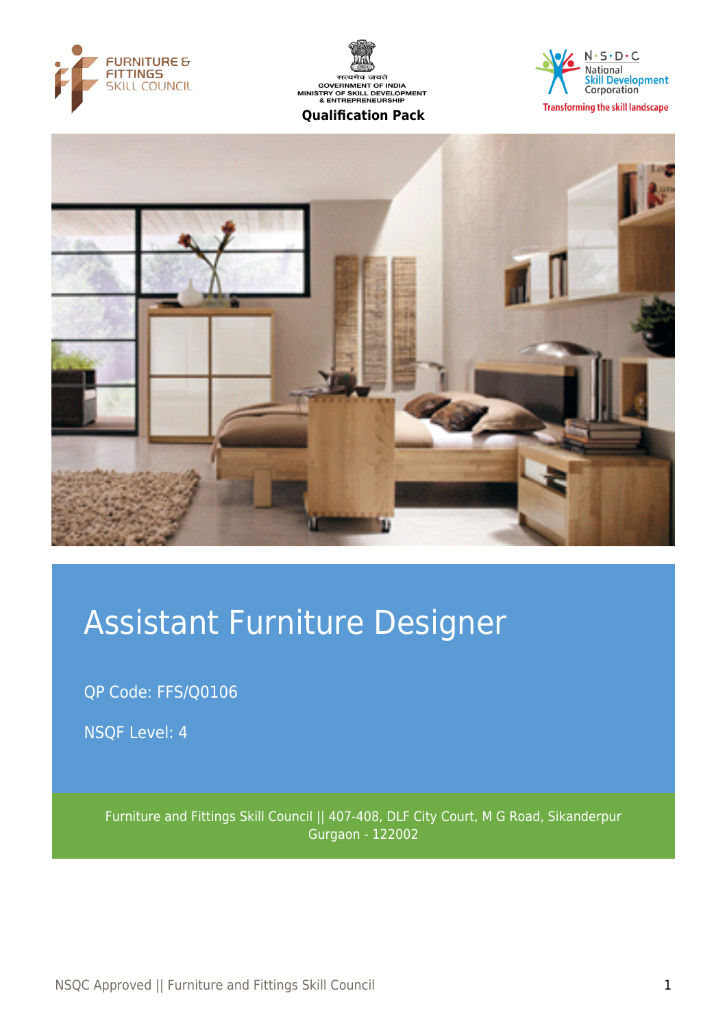







# Assistant Furniture Designer

QP Code: FFS/Q0106

NSQF Level: 4

Furniture and Fittings Skill Council || 407-408, DLF City Court, M G Road, Sikanderpur Gurgaon - 122002

NSQC Approved || Furniture and Fittings Skill Council 1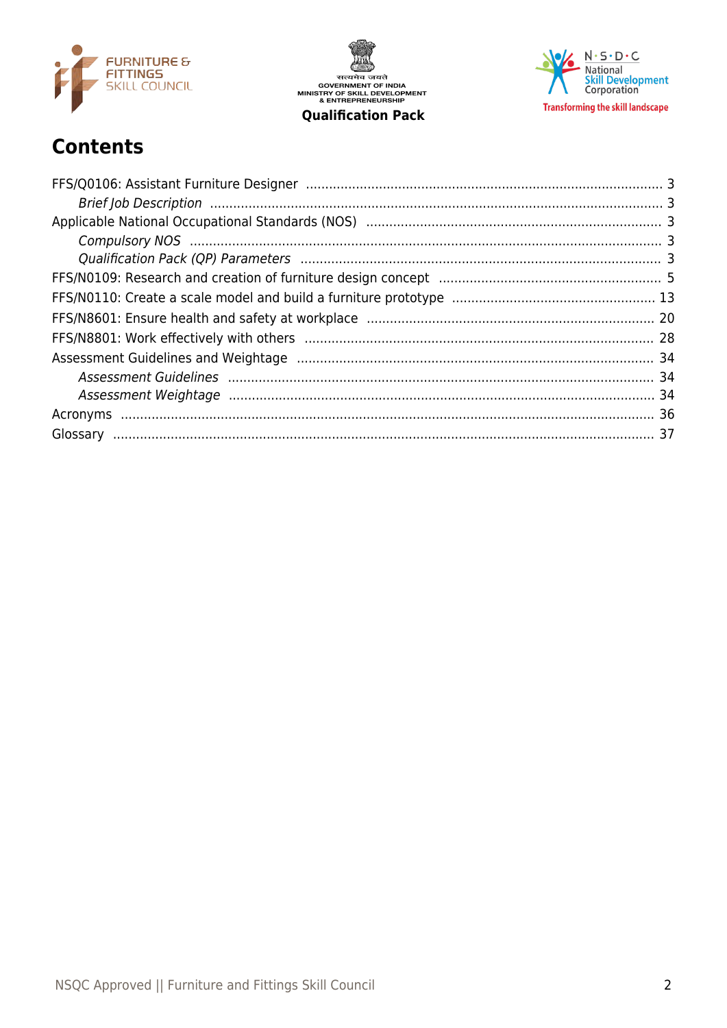

सत्यमेव जयते<br>GOVERNMENT OF INDIA<br>MINISTRY OF SKILL DEVELOPMENT<br>& ENTREPRENEURSHIP **Qualification Pack** 



# **Contents**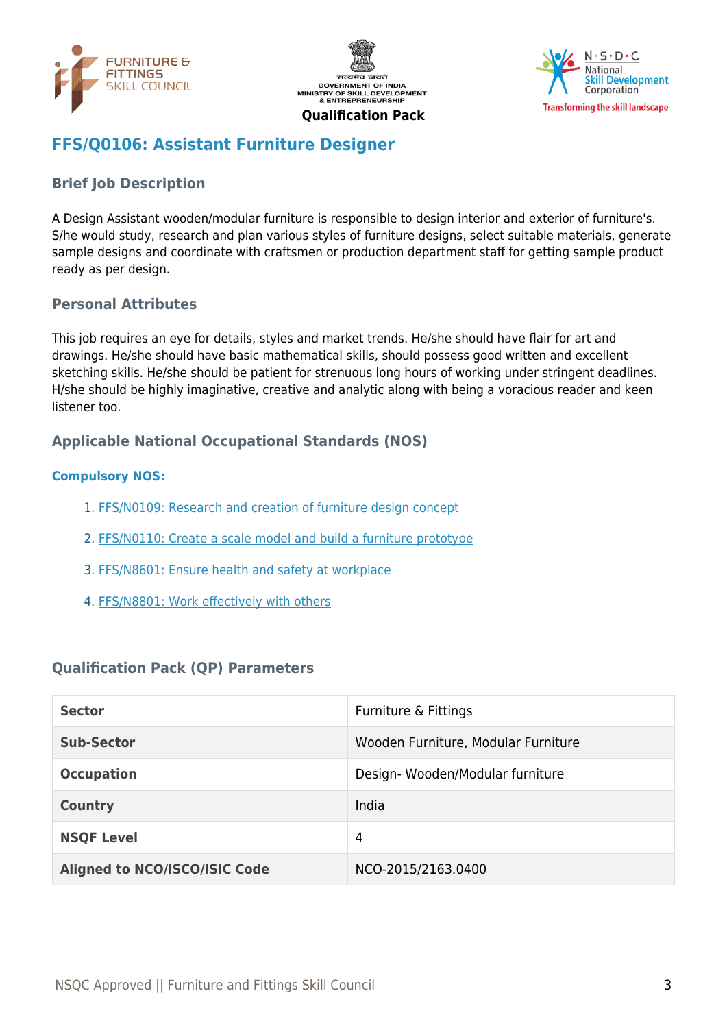





# <span id="page-2-0"></span>**FFS/Q0106: Assistant Furniture Designer**

# <span id="page-2-1"></span>**Brief Job Description**

A Design Assistant wooden/modular furniture is responsible to design interior and exterior of furniture's. S/he would study, research and plan various styles of furniture designs, select suitable materials, generate sample designs and coordinate with craftsmen or production department staff for getting sample product ready as per design.

#### **Personal Attributes**

This job requires an eye for details, styles and market trends. He/she should have flair for art and drawings. He/she should have basic mathematical skills, should possess good written and excellent sketching skills. He/she should be patient for strenuous long hours of working under stringent deadlines. H/she should be highly imaginative, creative and analytic along with being a voracious reader and keen listener too.

## <span id="page-2-2"></span>**Applicable National Occupational Standards (NOS)**

#### <span id="page-2-3"></span>**Compulsory NOS:**

- 1. [FFS/N0109: Research and creation of furniture design concept](#page-4-0)
- 2. [FFS/N0110: Create a scale model and build a furniture prototype](#page-12-0)
- 3. [FFS/N8601: Ensure health and safety at workplace](#page-19-0)
- 4. [FFS/N8801: Work effectively with others](#page-27-0)

#### <span id="page-2-4"></span>**Qualification Pack (QP) Parameters**

| <b>Sector</b>                        | Furniture & Fittings                |
|--------------------------------------|-------------------------------------|
| <b>Sub-Sector</b>                    | Wooden Furniture, Modular Furniture |
| <b>Occupation</b>                    | Design-Wooden/Modular furniture     |
| <b>Country</b>                       | India                               |
| <b>NSQF Level</b>                    | 4                                   |
| <b>Aligned to NCO/ISCO/ISIC Code</b> | NCO-2015/2163.0400                  |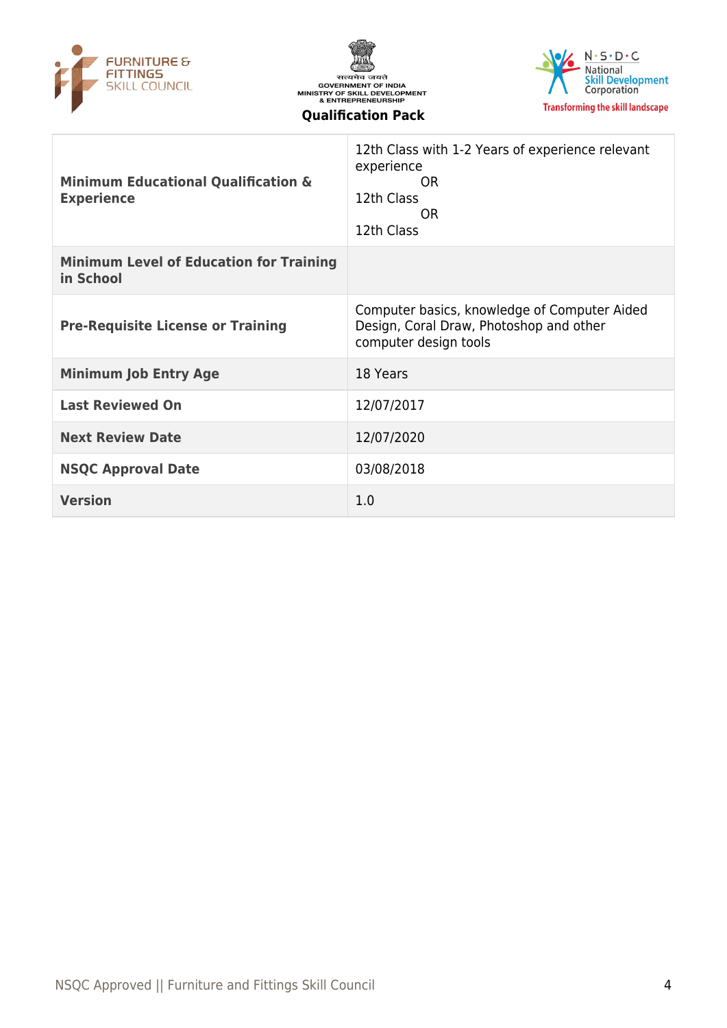





| <b>Minimum Educational Qualification &amp;</b><br><b>Experience</b> | 12th Class with 1-2 Years of experience relevant<br>experience<br>0 <sub>R</sub><br>12th Class<br>OR.<br>12th Class |
|---------------------------------------------------------------------|---------------------------------------------------------------------------------------------------------------------|
| <b>Minimum Level of Education for Training</b><br>in School         |                                                                                                                     |
| <b>Pre-Requisite License or Training</b>                            | Computer basics, knowledge of Computer Aided<br>Design, Coral Draw, Photoshop and other<br>computer design tools    |
| <b>Minimum Job Entry Age</b>                                        | 18 Years                                                                                                            |
| <b>Last Reviewed On</b>                                             | 12/07/2017                                                                                                          |
| <b>Next Review Date</b>                                             | 12/07/2020                                                                                                          |
| <b>NSQC Approval Date</b>                                           | 03/08/2018                                                                                                          |
| <b>Version</b>                                                      | 1.0                                                                                                                 |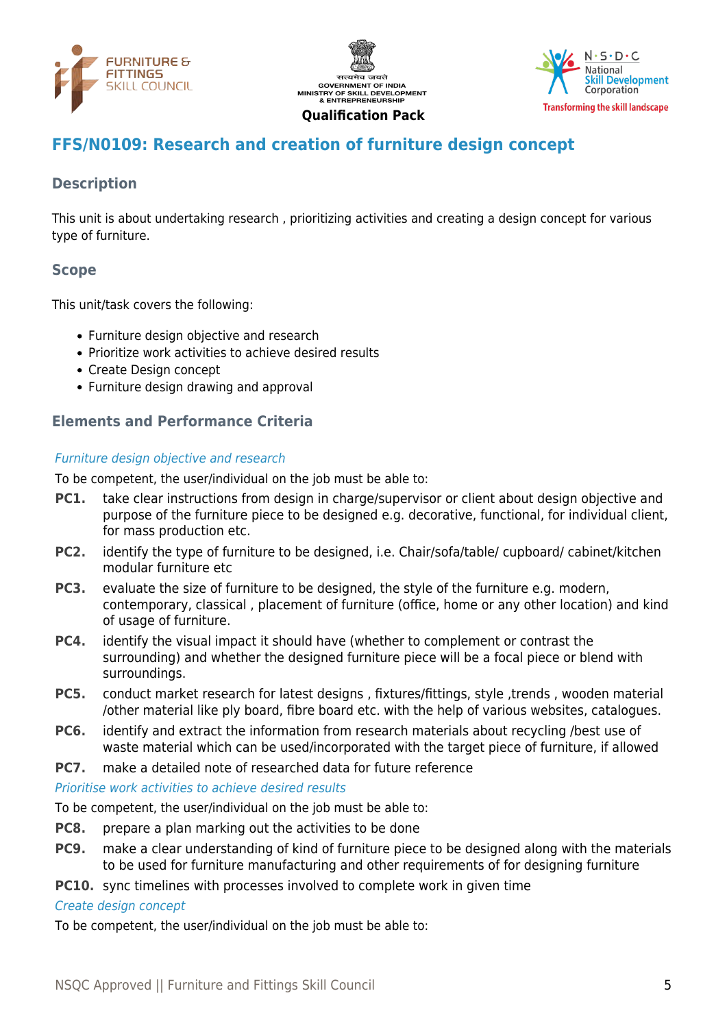





# <span id="page-4-0"></span>**FFS/N0109: Research and creation of furniture design concept**

# **Description**

This unit is about undertaking research , prioritizing activities and creating a design concept for various type of furniture.

# **Scope**

This unit/task covers the following:

- Furniture design objective and research
	- Prioritize work activities to achieve desired results
	- Create Design concept
	- Furniture design drawing and approval

## **Elements and Performance Criteria**

#### Furniture design objective and research

To be competent, the user/individual on the job must be able to:

- **PC1.** take clear instructions from design in charge/supervisor or client about design objective and purpose of the furniture piece to be designed e.g. decorative, functional, for individual client, for mass production etc.
- **PC2.** identify the type of furniture to be designed, i.e. Chair/sofa/table/ cupboard/ cabinet/kitchen modular furniture etc
- **PC3.** evaluate the size of furniture to be designed, the style of the furniture e.g. modern, contemporary, classical , placement of furniture (office, home or any other location) and kind of usage of furniture.
- **PC4.** identify the visual impact it should have (whether to complement or contrast the surrounding) and whether the designed furniture piece will be a focal piece or blend with surroundings.
- **PC5.** conduct market research for latest designs, fixtures/fittings, style, trends, wooden material /other material like ply board, fibre board etc. with the help of various websites, catalogues.
- **PC6.** identify and extract the information from research materials about recycling /best use of waste material which can be used/incorporated with the target piece of furniture, if allowed
- **PC7.** make a detailed note of researched data for future reference

#### Prioritise work activities to achieve desired results

To be competent, the user/individual on the job must be able to:

- **PC8.** prepare a plan marking out the activities to be done
- **PC9.** make a clear understanding of kind of furniture piece to be designed along with the materials to be used for furniture manufacturing and other requirements of for designing furniture
- **PC10.** sync timelines with processes involved to complete work in given time

#### Create design concept

To be competent, the user/individual on the job must be able to: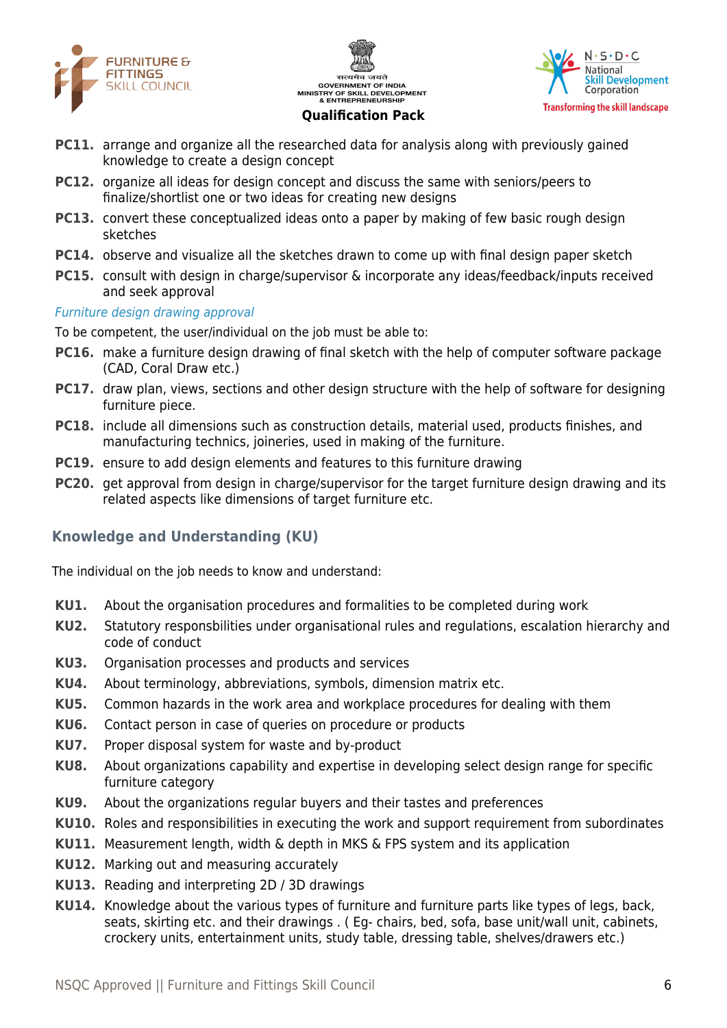





- **PC11.** arrange and organize all the researched data for analysis along with previously gained knowledge to create a design concept
- **PC12.** organize all ideas for design concept and discuss the same with seniors/peers to finalize/shortlist one or two ideas for creating new designs
- **PC13.** convert these conceptualized ideas onto a paper by making of few basic rough design sketches
- **PC14.** observe and visualize all the sketches drawn to come up with final design paper sketch
- **PC15.** consult with design in charge/supervisor & incorporate any ideas/feedback/inputs received and seek approval

#### Furniture design drawing approval

To be competent, the user/individual on the job must be able to:

- **PC16.** make a furniture design drawing of final sketch with the help of computer software package (CAD, Coral Draw etc.)
- **PC17.** draw plan, views, sections and other design structure with the help of software for designing furniture piece.
- **PC18.** include all dimensions such as construction details, material used, products finishes, and manufacturing technics, joineries, used in making of the furniture.
- **PC19.** ensure to add design elements and features to this furniture drawing
- **PC20.** get approval from design in charge/supervisor for the target furniture design drawing and its related aspects like dimensions of target furniture etc.

#### **Knowledge and Understanding (KU)**

The individual on the job needs to know and understand:

- **KU1.** About the organisation procedures and formalities to be completed during work
- **KU2.** Statutory responsbilities under organisational rules and regulations, escalation hierarchy and code of conduct
- **KU3.** Organisation processes and products and services
- **KU4.** About terminology, abbreviations, symbols, dimension matrix etc.
- **KU5.** Common hazards in the work area and workplace procedures for dealing with them
- **KU6.** Contact person in case of queries on procedure or products
- **KU7.** Proper disposal system for waste and by-product
- **KU8.** About organizations capability and expertise in developing select design range for specific furniture category
- **KU9.** About the organizations regular buyers and their tastes and preferences
- **KU10.** Roles and responsibilities in executing the work and support requirement from subordinates
- **KU11.** Measurement length, width & depth in MKS & FPS system and its application
- **KU12.** Marking out and measuring accurately
- **KU13.** Reading and interpreting 2D / 3D drawings
- **KU14.** Knowledge about the various types of furniture and furniture parts like types of legs, back, seats, skirting etc. and their drawings . ( Eg- chairs, bed, sofa, base unit/wall unit, cabinets, crockery units, entertainment units, study table, dressing table, shelves/drawers etc.)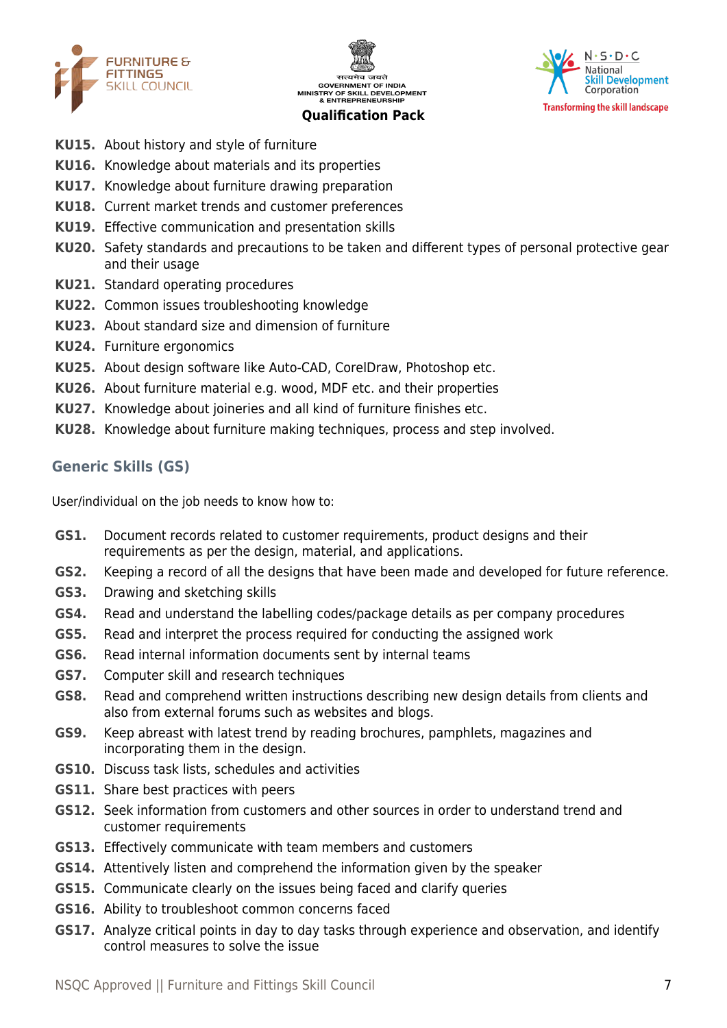





- **KU15.** About history and style of furniture
- **KU16.** Knowledge about materials and its properties
- **KU17.** Knowledge about furniture drawing preparation
- **KU18.** Current market trends and customer preferences
- **KU19.** Effective communication and presentation skills
- **KU20.** Safety standards and precautions to be taken and different types of personal protective gear and their usage
- **KU21.** Standard operating procedures
- **KU22.** Common issues troubleshooting knowledge
- **KU23.** About standard size and dimension of furniture
- **KU24.** Furniture ergonomics
- **KU25.** About design software like Auto-CAD, CorelDraw, Photoshop etc.
- **KU26.** About furniture material e.g. wood, MDF etc. and their properties
- **KU27.** Knowledge about joineries and all kind of furniture finishes etc.
- **KU28.** Knowledge about furniture making techniques, process and step involved.

#### **Generic Skills (GS)**

User/individual on the job needs to know how to:

- **GS1.** Document records related to customer requirements, product designs and their requirements as per the design, material, and applications.
- **GS2.** Keeping a record of all the designs that have been made and developed for future reference.
- **GS3.** Drawing and sketching skills
- **GS4.** Read and understand the labelling codes/package details as per company procedures
- **GS5.** Read and interpret the process required for conducting the assigned work
- **GS6.** Read internal information documents sent by internal teams
- **GS7.** Computer skill and research techniques
- **GS8.** Read and comprehend written instructions describing new design details from clients and also from external forums such as websites and blogs.
- **GS9.** Keep abreast with latest trend by reading brochures, pamphlets, magazines and incorporating them in the design.
- **GS10.** Discuss task lists, schedules and activities
- **GS11.** Share best practices with peers
- **GS12.** Seek information from customers and other sources in order to understand trend and customer requirements
- **GS13.** Effectively communicate with team members and customers
- **GS14.** Attentively listen and comprehend the information given by the speaker
- **GS15.** Communicate clearly on the issues being faced and clarify queries
- **GS16.** Ability to troubleshoot common concerns faced
- **GS17.** Analyze critical points in day to day tasks through experience and observation, and identify control measures to solve the issue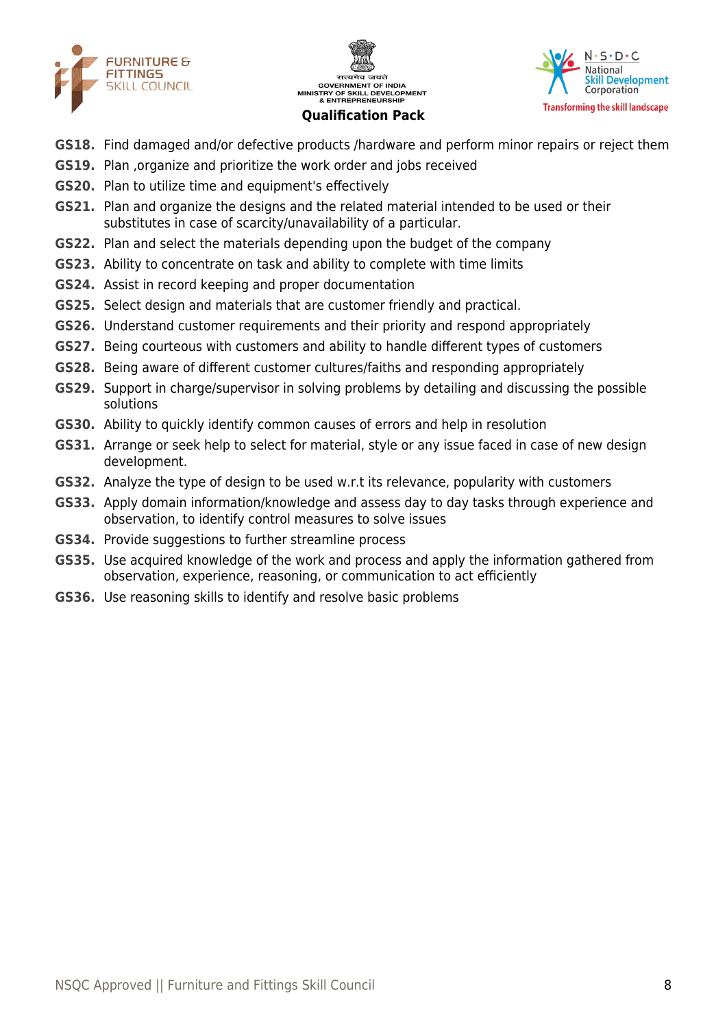





- **GS18.** Find damaged and/or defective products /hardware and perform minor repairs or reject them
- **GS19.** Plan ,organize and prioritize the work order and jobs received
- **GS20.** Plan to utilize time and equipment's effectively
- **GS21.** Plan and organize the designs and the related material intended to be used or their substitutes in case of scarcity/unavailability of a particular.
- **GS22.** Plan and select the materials depending upon the budget of the company
- **GS23.** Ability to concentrate on task and ability to complete with time limits
- **GS24.** Assist in record keeping and proper documentation
- **GS25.** Select design and materials that are customer friendly and practical.
- **GS26.** Understand customer requirements and their priority and respond appropriately
- **GS27.** Being courteous with customers and ability to handle different types of customers
- **GS28.** Being aware of different customer cultures/faiths and responding appropriately
- **GS29.** Support in charge/supervisor in solving problems by detailing and discussing the possible solutions
- **GS30.** Ability to quickly identify common causes of errors and help in resolution
- **GS31.** Arrange or seek help to select for material, style or any issue faced in case of new design development.
- **GS32.** Analyze the type of design to be used w.r.t its relevance, popularity with customers
- **GS33.** Apply domain information/knowledge and assess day to day tasks through experience and observation, to identify control measures to solve issues
- **GS34.** Provide suggestions to further streamline process
- **GS35.** Use acquired knowledge of the work and process and apply the information gathered from observation, experience, reasoning, or communication to act efficiently
- **GS36.** Use reasoning skills to identify and resolve basic problems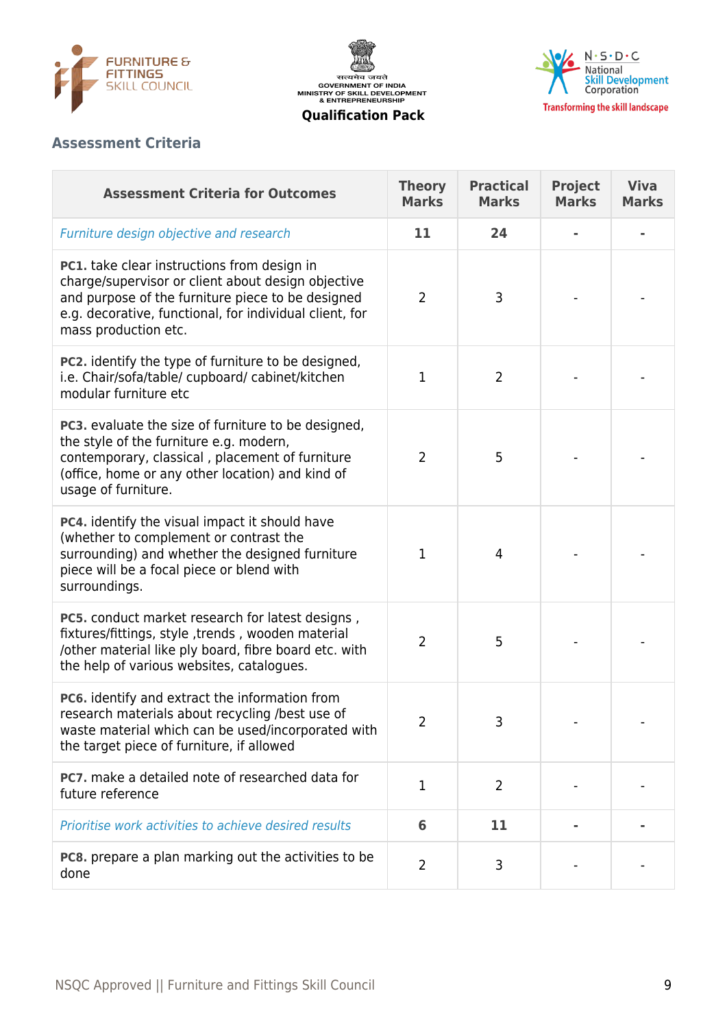





# **Assessment Criteria**

| <b>Assessment Criteria for Outcomes</b>                                                                                                                                                                                                   | <b>Theory</b><br><b>Marks</b> | <b>Practical</b><br><b>Marks</b> | <b>Project</b><br><b>Marks</b> | <b>Viva</b><br><b>Marks</b> |
|-------------------------------------------------------------------------------------------------------------------------------------------------------------------------------------------------------------------------------------------|-------------------------------|----------------------------------|--------------------------------|-----------------------------|
| Furniture design objective and research                                                                                                                                                                                                   | 11                            | 24                               |                                |                             |
| PC1. take clear instructions from design in<br>charge/supervisor or client about design objective<br>and purpose of the furniture piece to be designed<br>e.g. decorative, functional, for individual client, for<br>mass production etc. | 2                             | 3                                |                                |                             |
| PC2. identify the type of furniture to be designed,<br>i.e. Chair/sofa/table/ cupboard/ cabinet/kitchen<br>modular furniture etc                                                                                                          | 1                             | $\overline{2}$                   |                                |                             |
| PC3. evaluate the size of furniture to be designed,<br>the style of the furniture e.g. modern,<br>contemporary, classical, placement of furniture<br>(office, home or any other location) and kind of<br>usage of furniture.              | $\overline{2}$                | 5                                |                                |                             |
| PC4. identify the visual impact it should have<br>(whether to complement or contrast the<br>surrounding) and whether the designed furniture<br>piece will be a focal piece or blend with<br>surroundings.                                 | 1                             | 4                                |                                |                             |
| <b>PC5.</b> conduct market research for latest designs,<br>fixtures/fittings, style, trends, wooden material<br>/other material like ply board, fibre board etc. with<br>the help of various websites, catalogues.                        | $\overline{2}$                | 5                                |                                |                             |
| PC6. identify and extract the information from<br>research materials about recycling /best use of<br>waste material which can be used/incorporated with<br>the target piece of furniture, if allowed                                      | 2                             | 3                                |                                |                             |
| PC7. make a detailed note of researched data for<br>future reference                                                                                                                                                                      | $\mathbf{1}$                  | $\overline{2}$                   |                                |                             |
| Prioritise work activities to achieve desired results                                                                                                                                                                                     | 6                             | 11                               |                                |                             |
| PC8. prepare a plan marking out the activities to be<br>done                                                                                                                                                                              | $\overline{2}$                | 3                                |                                |                             |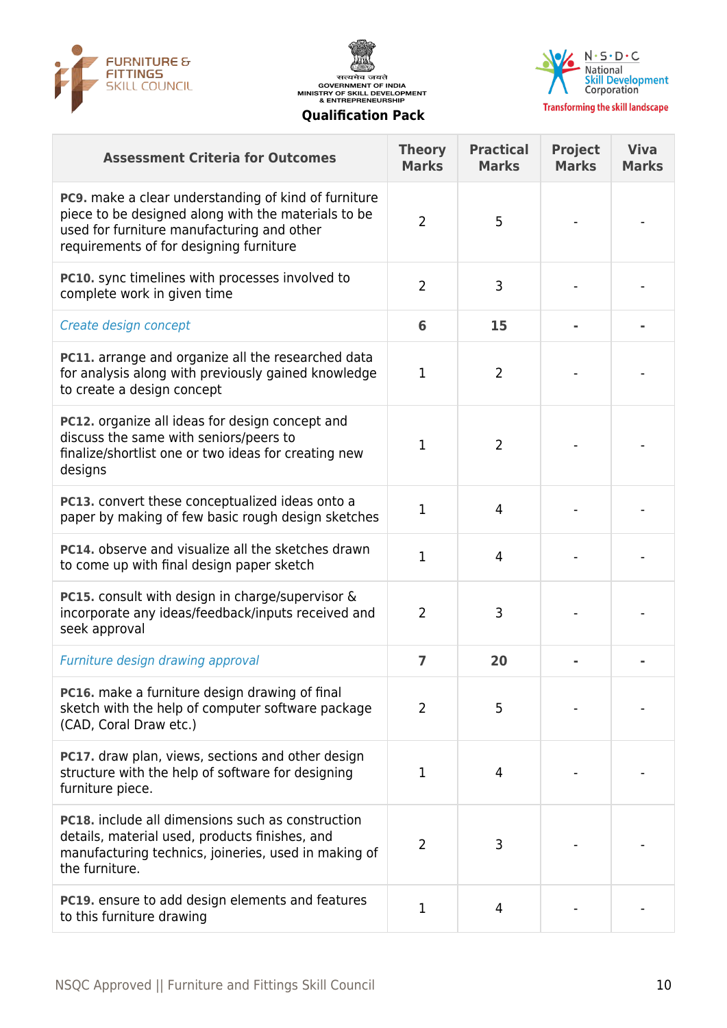





**Transforming the skill landscape** 

| <b>Assessment Criteria for Outcomes</b>                                                                                                                                                                     | <b>Theory</b><br><b>Marks</b> | <b>Practical</b><br><b>Marks</b> | <b>Project</b><br><b>Marks</b> | <b>Viva</b><br><b>Marks</b> |
|-------------------------------------------------------------------------------------------------------------------------------------------------------------------------------------------------------------|-------------------------------|----------------------------------|--------------------------------|-----------------------------|
| <b>PC9.</b> make a clear understanding of kind of furniture<br>piece to be designed along with the materials to be<br>used for furniture manufacturing and other<br>requirements of for designing furniture | 2                             | 5                                |                                |                             |
| PC10. sync timelines with processes involved to<br>complete work in given time                                                                                                                              | $\overline{2}$                | 3                                |                                |                             |
| Create design concept                                                                                                                                                                                       | 6                             | 15                               |                                |                             |
| <b>PC11.</b> arrange and organize all the researched data<br>for analysis along with previously gained knowledge<br>to create a design concept                                                              | 1                             | $\overline{2}$                   |                                |                             |
| PC12. organize all ideas for design concept and<br>discuss the same with seniors/peers to<br>finalize/shortlist one or two ideas for creating new<br>designs                                                | 1                             | $\overline{2}$                   |                                |                             |
| <b>PC13.</b> convert these conceptualized ideas onto a<br>paper by making of few basic rough design sketches                                                                                                | 1                             | $\overline{4}$                   |                                |                             |
| <b>PC14.</b> observe and visualize all the sketches drawn<br>to come up with final design paper sketch                                                                                                      | 1                             | $\overline{4}$                   |                                |                             |
| PC15. consult with design in charge/supervisor &<br>incorporate any ideas/feedback/inputs received and<br>seek approval                                                                                     | $\overline{2}$                | 3                                |                                |                             |
| Furniture design drawing approval                                                                                                                                                                           | 7                             | 20                               |                                |                             |
| <b>PC16.</b> make a furniture design drawing of final<br>sketch with the help of computer software package<br>(CAD, Coral Draw etc.)                                                                        | $\overline{2}$                | 5                                |                                |                             |
| PC17. draw plan, views, sections and other design<br>structure with the help of software for designing<br>furniture piece.                                                                                  | 1                             | 4                                |                                |                             |
| PC18. include all dimensions such as construction<br>details, material used, products finishes, and<br>manufacturing technics, joineries, used in making of<br>the furniture.                               | 2                             | 3                                |                                |                             |
| <b>PC19.</b> ensure to add design elements and features<br>to this furniture drawing                                                                                                                        | 1                             | 4                                |                                |                             |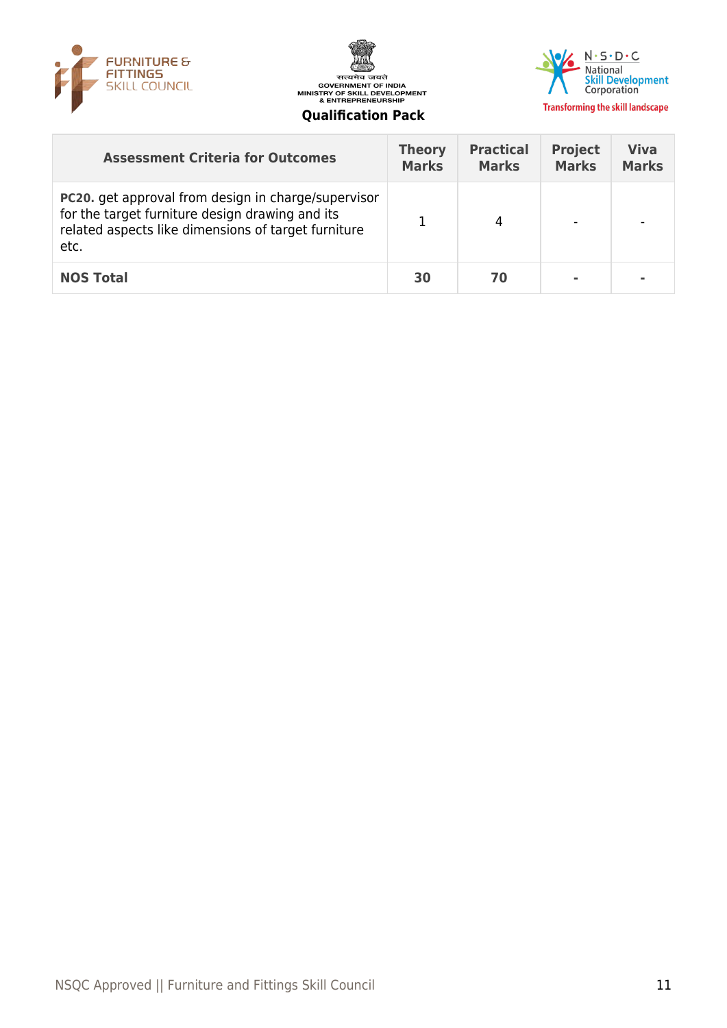





| <b>Assessment Criteria for Outcomes</b>                                                                                                                                      | <b>Theory</b><br><b>Marks</b> | <b>Practical</b><br><b>Marks</b> | <b>Project</b><br><b>Marks</b> | <b>Viva</b><br><b>Marks</b> |
|------------------------------------------------------------------------------------------------------------------------------------------------------------------------------|-------------------------------|----------------------------------|--------------------------------|-----------------------------|
| <b>PC20.</b> get approval from design in charge/supervisor<br>for the target furniture design drawing and its<br>related aspects like dimensions of target furniture<br>etc. |                               | 4                                |                                |                             |
| <b>NOS Total</b>                                                                                                                                                             | 30                            | 70                               |                                |                             |
|                                                                                                                                                                              |                               |                                  |                                |                             |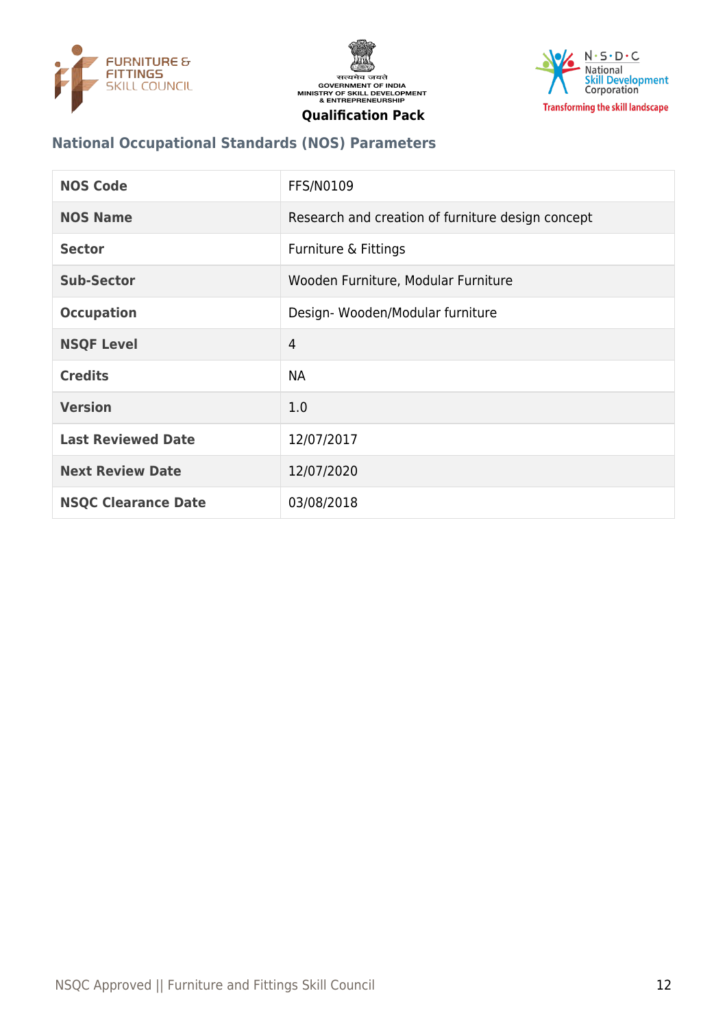





# **National Occupational Standards (NOS) Parameters**

| <b>NOS Code</b>            | <b>FFS/N0109</b>                                  |
|----------------------------|---------------------------------------------------|
| <b>NOS Name</b>            | Research and creation of furniture design concept |
| <b>Sector</b>              | Furniture & Fittings                              |
| Sub-Sector                 | Wooden Furniture, Modular Furniture               |
| <b>Occupation</b>          | Design-Wooden/Modular furniture                   |
| <b>NSQF Level</b>          | $\overline{4}$                                    |
| <b>Credits</b>             | <b>NA</b>                                         |
| <b>Version</b>             | 1.0                                               |
| <b>Last Reviewed Date</b>  | 12/07/2017                                        |
| <b>Next Review Date</b>    | 12/07/2020                                        |
| <b>NSQC Clearance Date</b> | 03/08/2018                                        |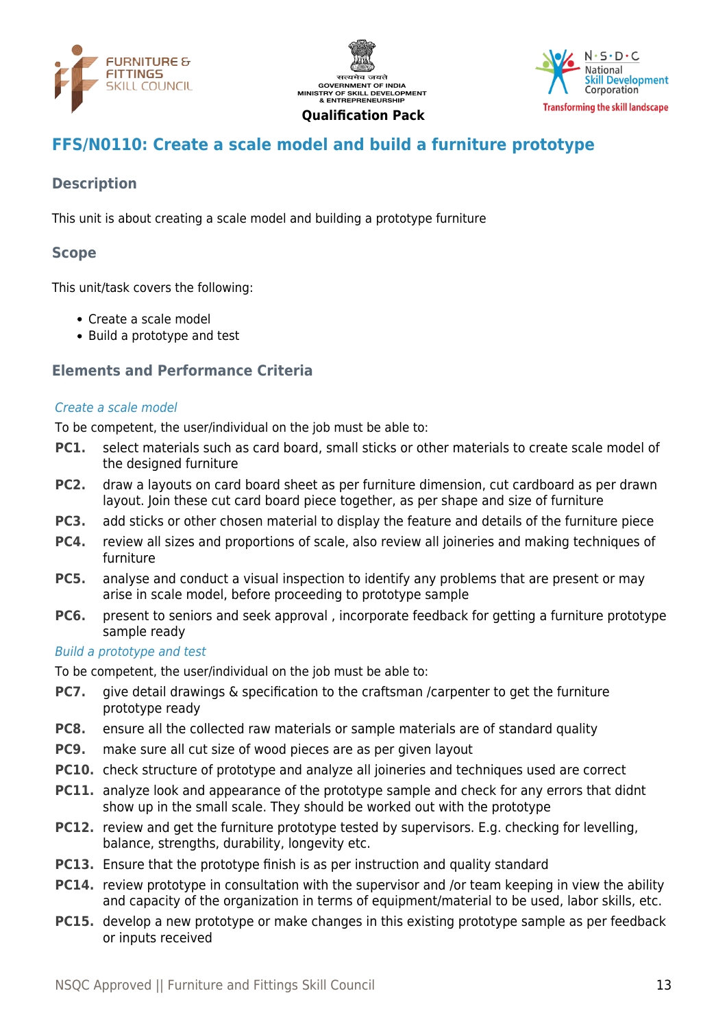





# <span id="page-12-0"></span>**FFS/N0110: Create a scale model and build a furniture prototype**

# **Description**

This unit is about creating a scale model and building a prototype furniture

#### **Scope**

This unit/task covers the following:

- Create a scale model
- Build a prototype and test

#### **Elements and Performance Criteria**

#### Create a scale model

To be competent, the user/individual on the job must be able to:

- **PC1.** select materials such as card board, small sticks or other materials to create scale model of the designed furniture
- **PC2.** draw a layouts on card board sheet as per furniture dimension, cut cardboard as per drawn layout. Join these cut card board piece together, as per shape and size of furniture
- **PC3.** add sticks or other chosen material to display the feature and details of the furniture piece
- **PC4.** review all sizes and proportions of scale, also review all joineries and making techniques of furniture
- **PC5.** analyse and conduct a visual inspection to identify any problems that are present or may arise in scale model, before proceeding to prototype sample
- **PC6.** present to seniors and seek approval, incorporate feedback for getting a furniture prototype sample ready

#### Build a prototype and test

To be competent, the user/individual on the job must be able to:

- **PC7.** give detail drawings & specification to the craftsman /carpenter to get the furniture prototype ready
- **PC8.** ensure all the collected raw materials or sample materials are of standard quality
- **PC9.** make sure all cut size of wood pieces are as per given layout
- **PC10.** check structure of prototype and analyze all joineries and techniques used are correct
- **PC11.** analyze look and appearance of the prototype sample and check for any errors that didnt show up in the small scale. They should be worked out with the prototype
- **PC12.** review and get the furniture prototype tested by supervisors. E.g. checking for levelling, balance, strengths, durability, longevity etc.
- **PC13.** Ensure that the prototype finish is as per instruction and quality standard
- **PC14.** review prototype in consultation with the supervisor and /or team keeping in view the ability and capacity of the organization in terms of equipment/material to be used, labor skills, etc.
- **PC15.** develop a new prototype or make changes in this existing prototype sample as per feedback or inputs received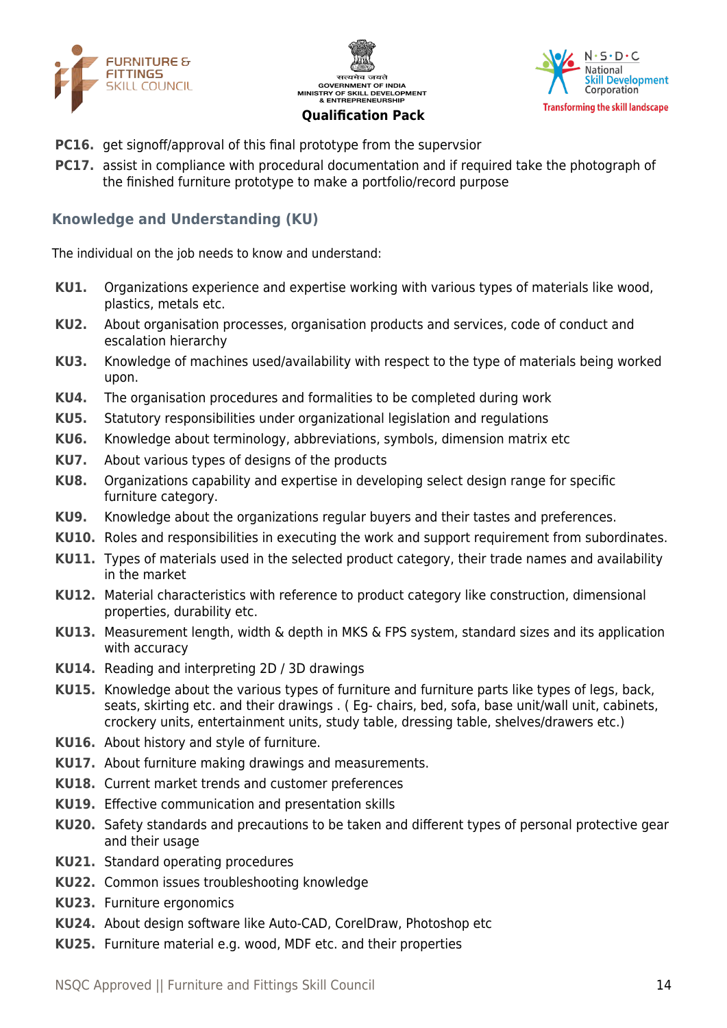





- **PC16.** get signoff/approval of this final prototype from the supervsior
- **PC17.** assist in compliance with procedural documentation and if required take the photograph of the finished furniture prototype to make a portfolio/record purpose

#### **Knowledge and Understanding (KU)**

The individual on the job needs to know and understand:

- **KU1.** Organizations experience and expertise working with various types of materials like wood, plastics, metals etc.
- **KU2.** About organisation processes, organisation products and services, code of conduct and escalation hierarchy
- **KU3.** Knowledge of machines used/availability with respect to the type of materials being worked upon.
- **KU4.** The organisation procedures and formalities to be completed during work
- **KU5.** Statutory responsibilities under organizational legislation and regulations
- **KU6.** Knowledge about terminology, abbreviations, symbols, dimension matrix etc
- **KU7.** About various types of designs of the products
- **KU8.** Organizations capability and expertise in developing select design range for specific furniture category.
- **KU9.** Knowledge about the organizations regular buyers and their tastes and preferences.
- **KU10.** Roles and responsibilities in executing the work and support requirement from subordinates.
- **KU11.** Types of materials used in the selected product category, their trade names and availability in the market
- **KU12.** Material characteristics with reference to product category like construction, dimensional properties, durability etc.
- **KU13.** Measurement length, width & depth in MKS & FPS system, standard sizes and its application with accuracy
- **KU14.** Reading and interpreting 2D / 3D drawings
- **KU15.** Knowledge about the various types of furniture and furniture parts like types of legs, back, seats, skirting etc. and their drawings . ( Eg- chairs, bed, sofa, base unit/wall unit, cabinets, crockery units, entertainment units, study table, dressing table, shelves/drawers etc.)
- **KU16.** About history and style of furniture.
- **KU17.** About furniture making drawings and measurements.
- **KU18.** Current market trends and customer preferences
- **KU19.** Effective communication and presentation skills
- **KU20.** Safety standards and precautions to be taken and different types of personal protective gear and their usage
- **KU21.** Standard operating procedures
- **KU22.** Common issues troubleshooting knowledge
- **KU23.** Furniture ergonomics
- **KU24.** About design software like Auto-CAD, CorelDraw, Photoshop etc
- **KU25.** Furniture material e.g. wood, MDF etc. and their properties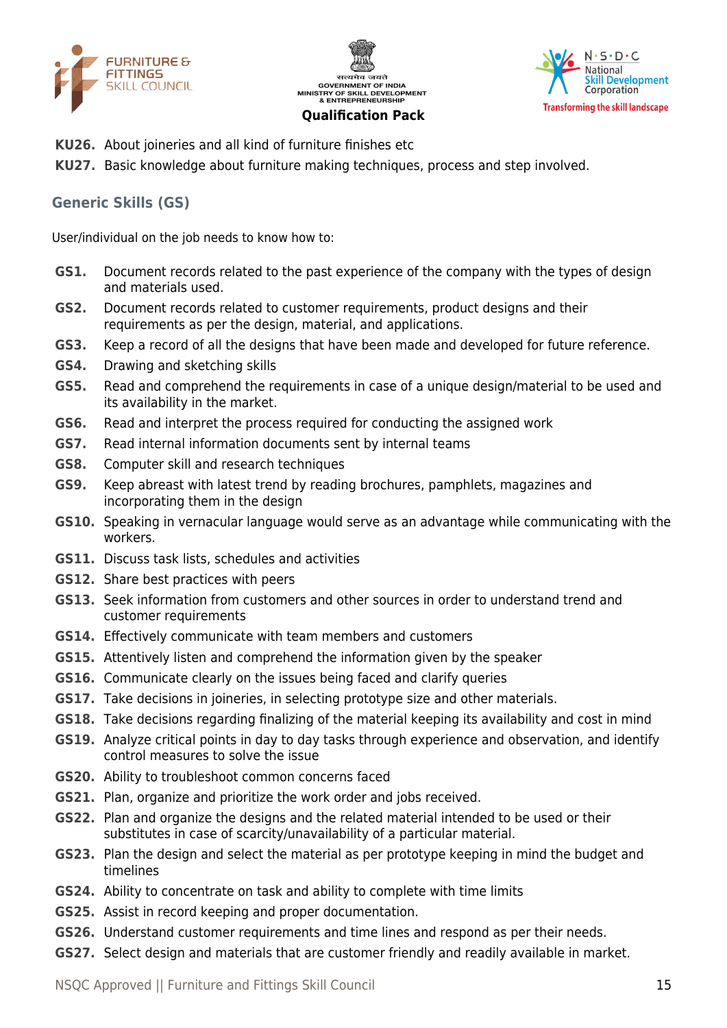





- **KU26.** About joineries and all kind of furniture finishes etc
- **KU27.** Basic knowledge about furniture making techniques, process and step involved.

## **Generic Skills (GS)**

User/individual on the job needs to know how to:

- **GS1.** Document records related to the past experience of the company with the types of design and materials used.
- **GS2.** Document records related to customer requirements, product designs and their requirements as per the design, material, and applications.
- **GS3.** Keep a record of all the designs that have been made and developed for future reference.
- **GS4.** Drawing and sketching skills
- **GS5.** Read and comprehend the requirements in case of a unique design/material to be used and its availability in the market.
- **GS6.** Read and interpret the process required for conducting the assigned work
- **GS7.** Read internal information documents sent by internal teams
- **GS8.** Computer skill and research techniques
- **GS9.** Keep abreast with latest trend by reading brochures, pamphlets, magazines and incorporating them in the design
- **GS10.** Speaking in vernacular language would serve as an advantage while communicating with the workers.
- **GS11.** Discuss task lists, schedules and activities
- **GS12.** Share best practices with peers
- **GS13.** Seek information from customers and other sources in order to understand trend and customer requirements
- **GS14.** Effectively communicate with team members and customers
- **GS15.** Attentively listen and comprehend the information given by the speaker
- **GS16.** Communicate clearly on the issues being faced and clarify queries
- **GS17.** Take decisions in joineries, in selecting prototype size and other materials.
- **GS18.** Take decisions regarding finalizing of the material keeping its availability and cost in mind
- **GS19.** Analyze critical points in day to day tasks through experience and observation, and identify control measures to solve the issue
- **GS20.** Ability to troubleshoot common concerns faced
- **GS21.** Plan, organize and prioritize the work order and jobs received.
- **GS22.** Plan and organize the designs and the related material intended to be used or their substitutes in case of scarcity/unavailability of a particular material.
- **GS23.** Plan the design and select the material as per prototype keeping in mind the budget and timelines
- **GS24.** Ability to concentrate on task and ability to complete with time limits
- **GS25.** Assist in record keeping and proper documentation.
- **GS26.** Understand customer requirements and time lines and respond as per their needs.
- **GS27.** Select design and materials that are customer friendly and readily available in market.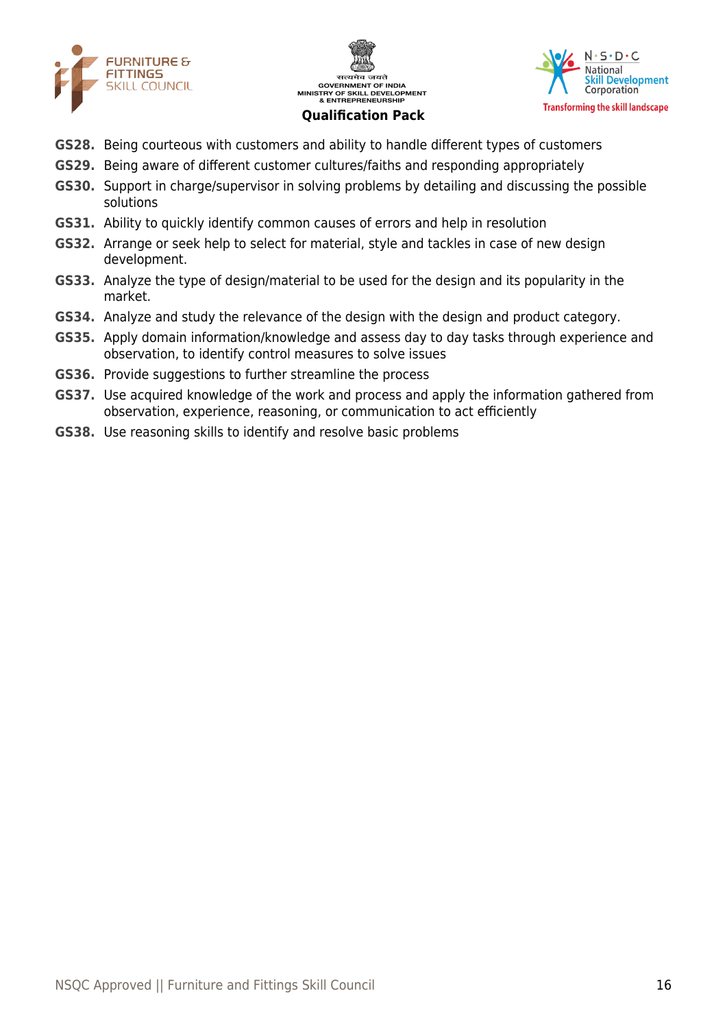





- **GS28.** Being courteous with customers and ability to handle different types of customers
- **GS29.** Being aware of different customer cultures/faiths and responding appropriately
- **GS30.** Support in charge/supervisor in solving problems by detailing and discussing the possible solutions
- **GS31.** Ability to quickly identify common causes of errors and help in resolution
- **GS32.** Arrange or seek help to select for material, style and tackles in case of new design development.
- **GS33.** Analyze the type of design/material to be used for the design and its popularity in the market.
- **GS34.** Analyze and study the relevance of the design with the design and product category.
- **GS35.** Apply domain information/knowledge and assess day to day tasks through experience and observation, to identify control measures to solve issues
- **GS36.** Provide suggestions to further streamline the process
- **GS37.** Use acquired knowledge of the work and process and apply the information gathered from observation, experience, reasoning, or communication to act efficiently
- **GS38.** Use reasoning skills to identify and resolve basic problems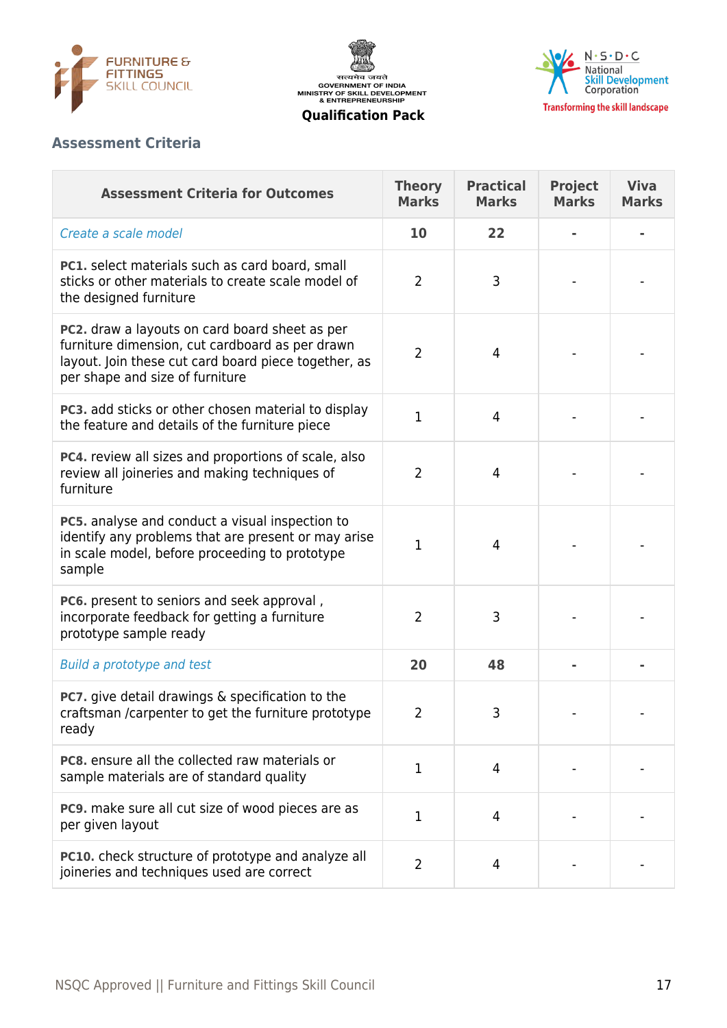





# **Assessment Criteria**

| <b>Assessment Criteria for Outcomes</b>                                                                                                                                                      | <b>Theory</b><br><b>Marks</b> | <b>Practical</b><br><b>Marks</b> | <b>Project</b><br><b>Marks</b> | <b>Viva</b><br><b>Marks</b> |
|----------------------------------------------------------------------------------------------------------------------------------------------------------------------------------------------|-------------------------------|----------------------------------|--------------------------------|-----------------------------|
| Create a scale model                                                                                                                                                                         | 10                            | 22                               |                                |                             |
| PC1. select materials such as card board, small<br>sticks or other materials to create scale model of<br>the designed furniture                                                              | $\overline{2}$                | 3                                |                                |                             |
| PC2. draw a layouts on card board sheet as per<br>furniture dimension, cut cardboard as per drawn<br>layout. Join these cut card board piece together, as<br>per shape and size of furniture | $\overline{2}$                | 4                                |                                |                             |
| PC3. add sticks or other chosen material to display<br>the feature and details of the furniture piece                                                                                        | $\mathbf{1}$                  | $\overline{4}$                   |                                |                             |
| PC4. review all sizes and proportions of scale, also<br>review all joineries and making techniques of<br>furniture                                                                           | $\overline{2}$                | $\overline{4}$                   |                                |                             |
| PC5. analyse and conduct a visual inspection to<br>identify any problems that are present or may arise<br>in scale model, before proceeding to prototype<br>sample                           | 1                             | $\overline{4}$                   |                                |                             |
| PC6. present to seniors and seek approval,<br>incorporate feedback for getting a furniture<br>prototype sample ready                                                                         | $\overline{2}$                | 3                                |                                |                             |
| <b>Build a prototype and test</b>                                                                                                                                                            | 20                            | 48                               |                                |                             |
| <b>PC7.</b> give detail drawings & specification to the<br>craftsman /carpenter to get the furniture prototype<br>ready                                                                      | $\overline{2}$                | 3                                |                                |                             |
| <b>PC8.</b> ensure all the collected raw materials or<br>sample materials are of standard quality                                                                                            | 1                             | $\overline{4}$                   |                                |                             |
| PC9. make sure all cut size of wood pieces are as<br>per given layout                                                                                                                        | $\mathbf{1}$                  | 4                                |                                |                             |
| PC10. check structure of prototype and analyze all<br>joineries and techniques used are correct                                                                                              | 2                             | 4                                |                                |                             |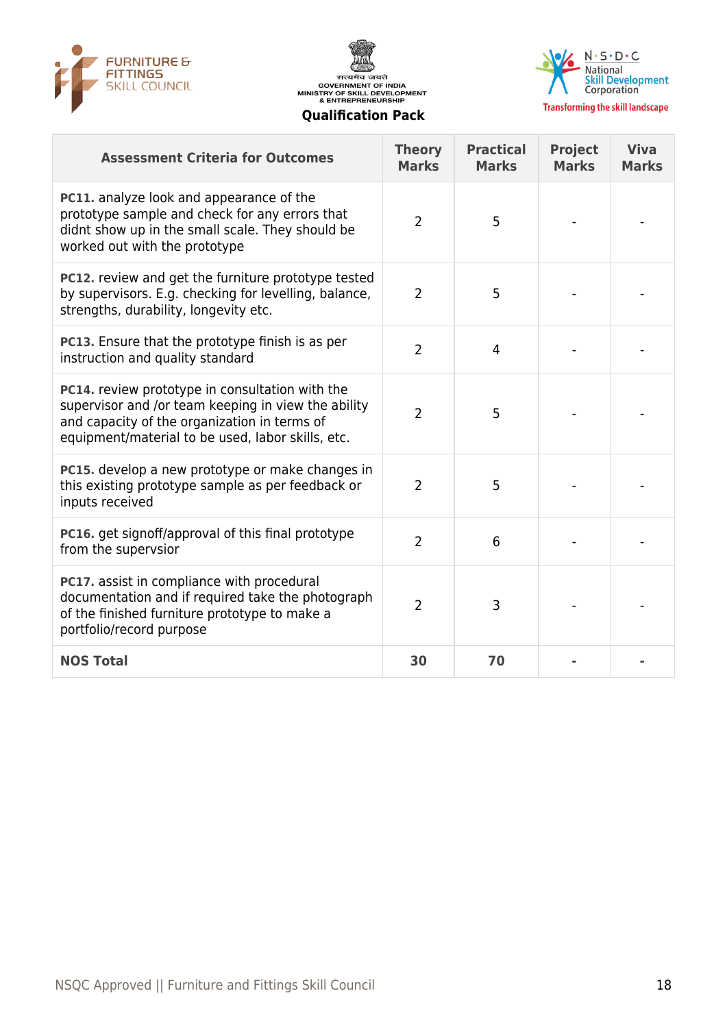

सत्यमेव जयते **GOVERNMENT OF INDIA GOVERNMENT OF INDIA**<br>MINISTRY OF SKILL DEVELOPMENT<br>& ENTREPRENEURSHIP **Qualification Pack**



**Transforming the skill landscape** 

#### **Assessment Criteria for Outcomes Theory Marks Practical Marks Project Marks Viva Marks PC11.** analyze look and appearance of the prototype sample and check for any errors that didnt show up in the small scale. They should be worked out with the prototype 2 | 5 | - | -**PC12.** review and get the furniture prototype tested by supervisors. E.g. checking for levelling, balance, strengths, durability, longevity etc. 2 | 5 | - | -**PC13.** Ensure that the prototype finish is as per PCL3. Ensure that the prototype finish is as per the control of the control of the control of the control of the control of the control of the control of the control of the control of the control of the control of the cont **PC14.** review prototype in consultation with the supervisor and /or team keeping in view the ability and capacity of the organization in terms of equipment/material to be used, labor skills, etc. 2 | 5 | - | -**PC15.** develop a new prototype or make changes in this existing prototype sample as per feedback or inputs received 2 | 5 | - | -**PC16.** get signoff/approval of this final prototype **PCT6.** Get signon/approval of this final prototype that  $\begin{array}{ccc} 2 & 6 & -1 \end{array}$ **PC17.** assist in compliance with procedural documentation and if required take the photograph of the finished furniture prototype to make a portfolio/record purpose 2 3 - -**NOS Total 30 70 - -**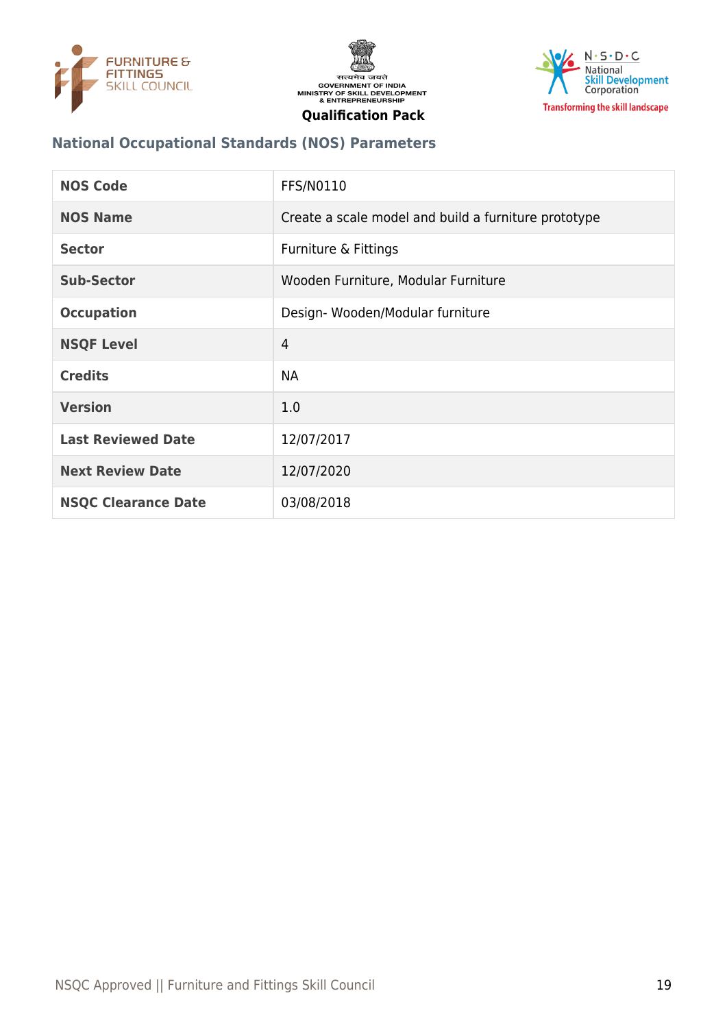





## **National Occupational Standards (NOS) Parameters**

| <b>NOS Code</b>            | <b>FFS/N0110</b>                                     |
|----------------------------|------------------------------------------------------|
| <b>NOS Name</b>            | Create a scale model and build a furniture prototype |
| <b>Sector</b>              | Furniture & Fittings                                 |
| Sub-Sector                 | Wooden Furniture, Modular Furniture                  |
| <b>Occupation</b>          | Design-Wooden/Modular furniture                      |
| <b>NSQF Level</b>          | 4                                                    |
| <b>Credits</b>             | <b>NA</b>                                            |
| <b>Version</b>             | 1.0                                                  |
| <b>Last Reviewed Date</b>  | 12/07/2017                                           |
| <b>Next Review Date</b>    | 12/07/2020                                           |
| <b>NSQC Clearance Date</b> | 03/08/2018                                           |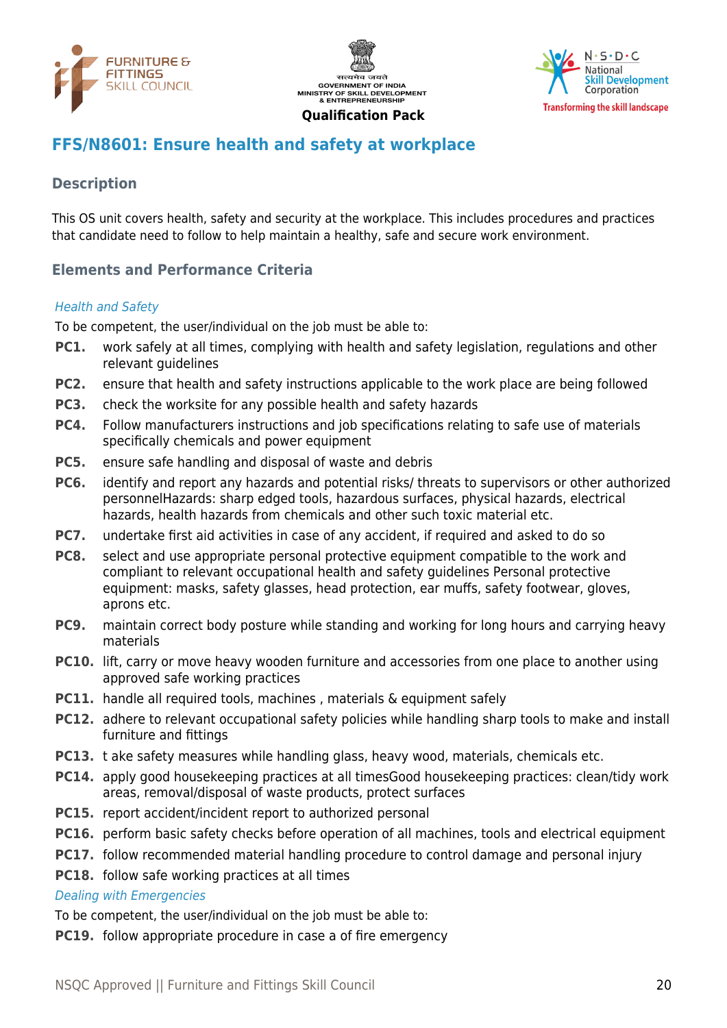





# <span id="page-19-0"></span>**FFS/N8601: Ensure health and safety at workplace**

## **Description**

This OS unit covers health, safety and security at the workplace. This includes procedures and practices that candidate need to follow to help maintain a healthy, safe and secure work environment.

## **Elements and Performance Criteria**

#### Health and Safety

To be competent, the user/individual on the job must be able to:

- **PC1.** work safely at all times, complying with health and safety legislation, regulations and other relevant guidelines
- **PC2.** ensure that health and safety instructions applicable to the work place are being followed
- **PC3.** check the worksite for any possible health and safety hazards
- **PC4.** Follow manufacturers instructions and job specifications relating to safe use of materials specifically chemicals and power equipment
- **PC5.** ensure safe handling and disposal of waste and debris
- **PC6.** identify and report any hazards and potential risks/ threats to supervisors or other authorized personnelHazards: sharp edged tools, hazardous surfaces, physical hazards, electrical hazards, health hazards from chemicals and other such toxic material etc.
- **PC7.** undertake first aid activities in case of any accident, if required and asked to do so
- **PC8.** select and use appropriate personal protective equipment compatible to the work and compliant to relevant occupational health and safety guidelines Personal protective equipment: masks, safety glasses, head protection, ear muffs, safety footwear, gloves, aprons etc.
- **PC9.** maintain correct body posture while standing and working for long hours and carrying heavy materials
- **PC10.** lift, carry or move heavy wooden furniture and accessories from one place to another using approved safe working practices
- **PC11.** handle all required tools, machines, materials & equipment safely
- **PC12.** adhere to relevant occupational safety policies while handling sharp tools to make and install furniture and fittings
- **PC13.** t ake safety measures while handling glass, heavy wood, materials, chemicals etc.
- **PC14.** apply good housekeeping practices at all timesGood housekeeping practices: clean/tidy work areas, removal/disposal of waste products, protect surfaces
- **PC15.** report accident/incident report to authorized personal
- **PC16.** perform basic safety checks before operation of all machines, tools and electrical equipment
- **PC17.** follow recommended material handling procedure to control damage and personal injury
- **PC18.** follow safe working practices at all times

#### Dealing with Emergencies

To be competent, the user/individual on the job must be able to:

**PC19.** follow appropriate procedure in case a of fire emergency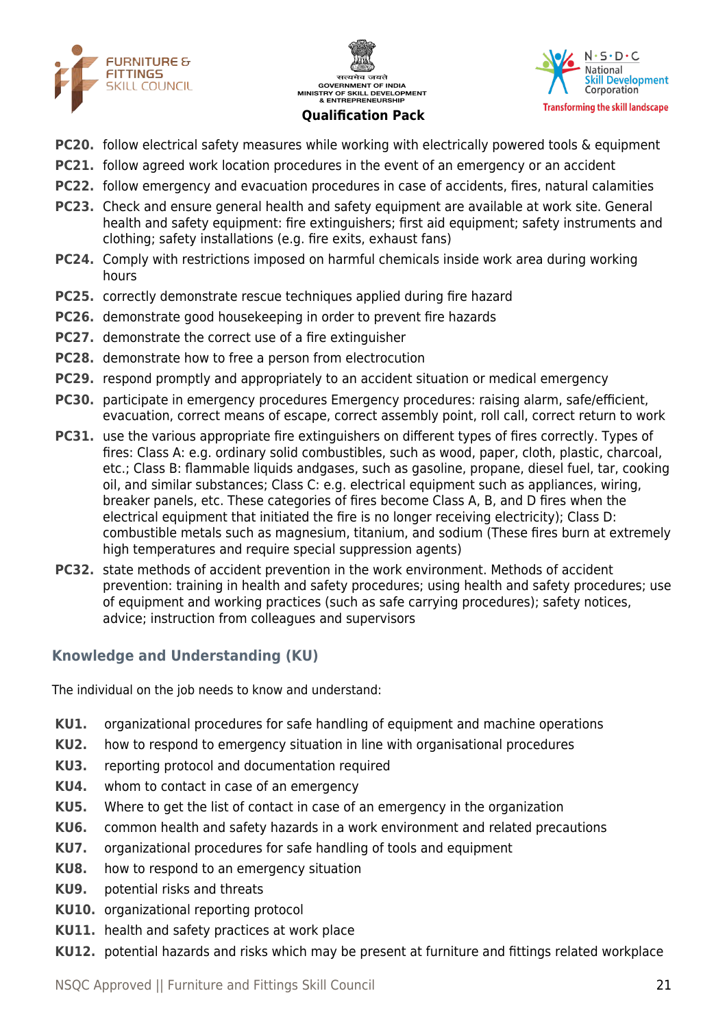





- **PC20.** follow electrical safety measures while working with electrically powered tools & equipment
- **PC21.** follow agreed work location procedures in the event of an emergency or an accident
- **PC22.** follow emergency and evacuation procedures in case of accidents, fires, natural calamities
- **PC23.** Check and ensure general health and safety equipment are available at work site. General health and safety equipment: fire extinguishers; first aid equipment; safety instruments and clothing; safety installations (e.g. fire exits, exhaust fans)
- **PC24.** Comply with restrictions imposed on harmful chemicals inside work area during working hours
- **PC25.** correctly demonstrate rescue techniques applied during fire hazard
- **PC26.** demonstrate good housekeeping in order to prevent fire hazards
- **PC27.** demonstrate the correct use of a fire extinguisher
- **PC28.** demonstrate how to free a person from electrocution
- **PC29.** respond promptly and appropriately to an accident situation or medical emergency
- **PC30.** participate in emergency procedures Emergency procedures: raising alarm, safe/efficient, evacuation, correct means of escape, correct assembly point, roll call, correct return to work
- **PC31.** use the various appropriate fire extinguishers on different types of fires correctly. Types of fires: Class A: e.g. ordinary solid combustibles, such as wood, paper, cloth, plastic, charcoal, etc.; Class B: flammable liquids andgases, such as gasoline, propane, diesel fuel, tar, cooking oil, and similar substances; Class C: e.g. electrical equipment such as appliances, wiring, breaker panels, etc. These categories of fires become Class A, B, and D fires when the electrical equipment that initiated the fire is no longer receiving electricity); Class D: combustible metals such as magnesium, titanium, and sodium (These fires burn at extremely high temperatures and require special suppression agents)
- **PC32.** state methods of accident prevention in the work environment. Methods of accident prevention: training in health and safety procedures; using health and safety procedures; use of equipment and working practices (such as safe carrying procedures); safety notices, advice; instruction from colleagues and supervisors

# **Knowledge and Understanding (KU)**

The individual on the job needs to know and understand:

- **KU1.** organizational procedures for safe handling of equipment and machine operations
- **KU2.** how to respond to emergency situation in line with organisational procedures
- **KU3.** reporting protocol and documentation required
- **KU4.** whom to contact in case of an emergency
- **KU5.** Where to get the list of contact in case of an emergency in the organization
- **KU6.** common health and safety hazards in a work environment and related precautions
- **KU7.** organizational procedures for safe handling of tools and equipment
- **KU8.** how to respond to an emergency situation
- **KU9.** potential risks and threats
- **KU10.** organizational reporting protocol
- **KU11.** health and safety practices at work place
- **KU12.** potential hazards and risks which may be present at furniture and fittings related workplace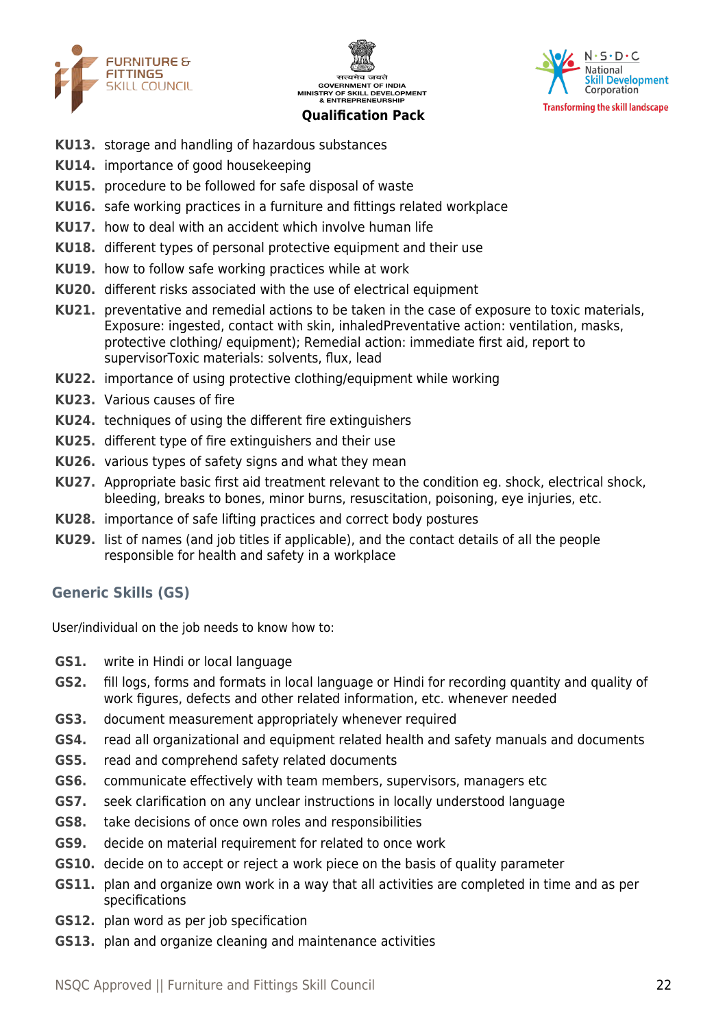





- **KU13.** storage and handling of hazardous substances
- **KU14.** importance of good housekeeping
- **KU15.** procedure to be followed for safe disposal of waste
- **KU16.** safe working practices in a furniture and fittings related workplace
- **KU17.** how to deal with an accident which involve human life
- **KU18.** different types of personal protective equipment and their use
- **KU19.** how to follow safe working practices while at work
- **KU20.** different risks associated with the use of electrical equipment
- **KU21.** preventative and remedial actions to be taken in the case of exposure to toxic materials, Exposure: ingested, contact with skin, inhaledPreventative action: ventilation, masks, protective clothing/ equipment); Remedial action: immediate first aid, report to supervisorToxic materials: solvents, flux, lead
- **KU22.** importance of using protective clothing/equipment while working
- **KU23.** Various causes of fire
- **KU24.** techniques of using the different fire extinguishers
- **KU25.** different type of fire extinguishers and their use
- **KU26.** various types of safety signs and what they mean
- **KU27.** Appropriate basic first aid treatment relevant to the condition eg. shock, electrical shock, bleeding, breaks to bones, minor burns, resuscitation, poisoning, eye injuries, etc.
- **KU28.** importance of safe lifting practices and correct body postures
- **KU29.** list of names (and job titles if applicable), and the contact details of all the people responsible for health and safety in a workplace

#### **Generic Skills (GS)**

User/individual on the job needs to know how to:

- **GS1.** write in Hindi or local language
- **GS2.** fill logs, forms and formats in local language or Hindi for recording quantity and quality of work figures, defects and other related information, etc. whenever needed
- **GS3.** document measurement appropriately whenever required
- **GS4.** read all organizational and equipment related health and safety manuals and documents
- **GS5.** read and comprehend safety related documents
- **GS6.** communicate effectively with team members, supervisors, managers etc
- **GS7.** seek clarification on any unclear instructions in locally understood language
- **GS8.** take decisions of once own roles and responsibilities
- **GS9.** decide on material requirement for related to once work
- **GS10.** decide on to accept or reject a work piece on the basis of quality parameter
- **GS11.** plan and organize own work in a way that all activities are completed in time and as per specifications
- **GS12.** plan word as per job specification
- **GS13.** plan and organize cleaning and maintenance activities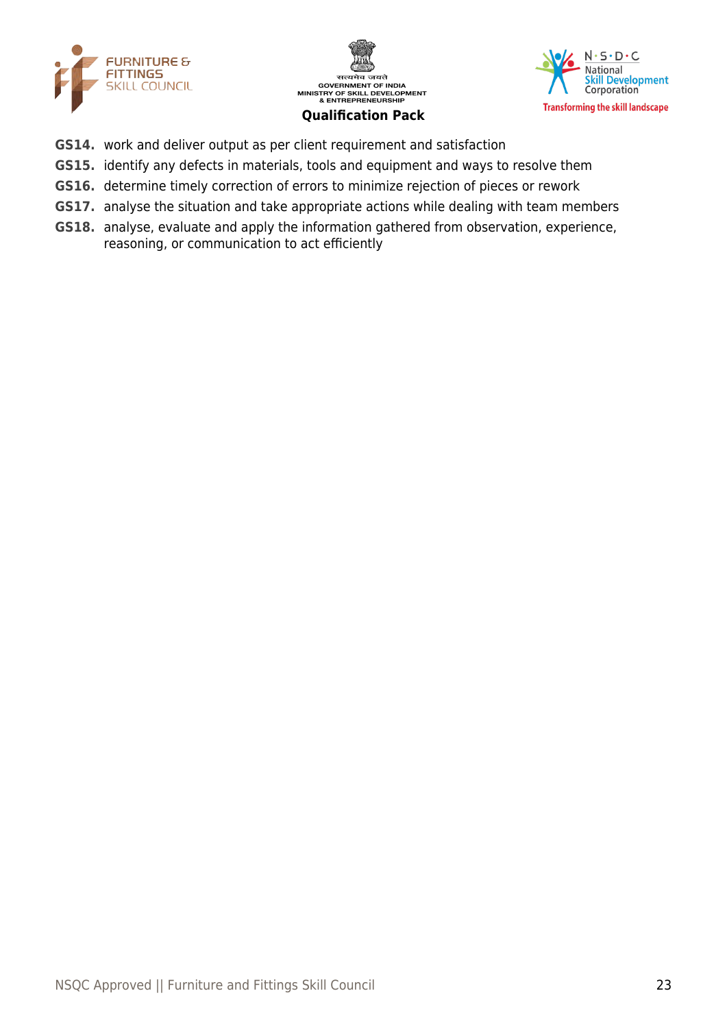





- **GS14.** work and deliver output as per client requirement and satisfaction
- **GS15.** identify any defects in materials, tools and equipment and ways to resolve them
- **GS16.** determine timely correction of errors to minimize rejection of pieces or rework
- **GS17.** analyse the situation and take appropriate actions while dealing with team members
- **GS18.** analyse, evaluate and apply the information gathered from observation, experience, reasoning, or communication to act efficiently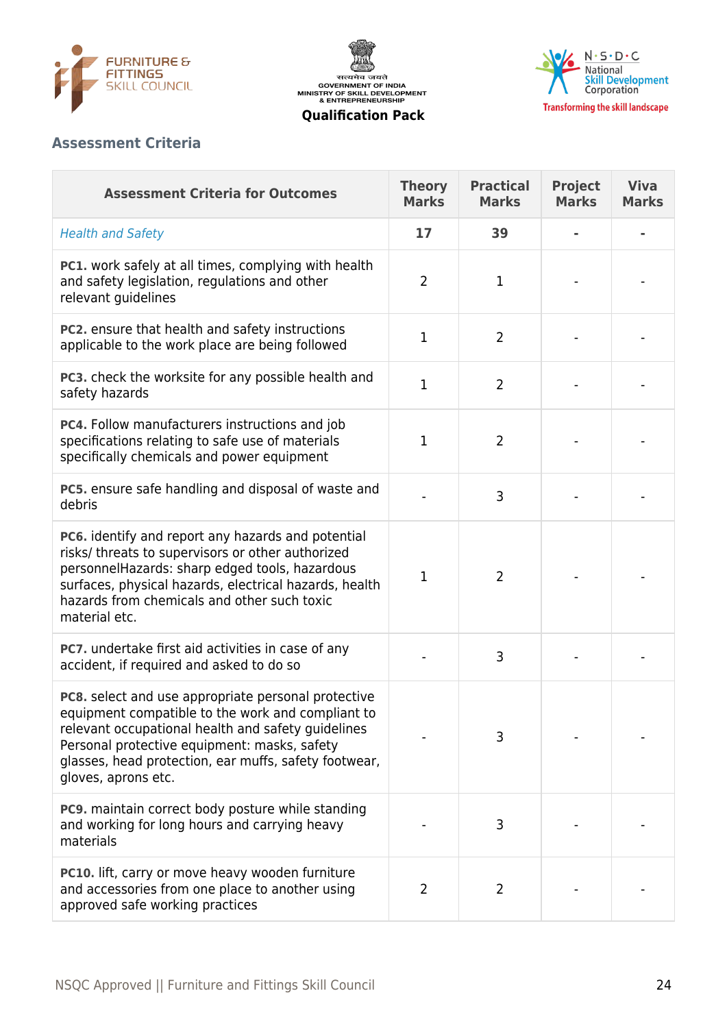





# **Assessment Criteria**

| <b>Assessment Criteria for Outcomes</b>                                                                                                                                                                                                                                                        | <b>Theory</b><br><b>Marks</b> | <b>Practical</b><br><b>Marks</b> | <b>Project</b><br><b>Marks</b> | <b>Viva</b><br><b>Marks</b> |
|------------------------------------------------------------------------------------------------------------------------------------------------------------------------------------------------------------------------------------------------------------------------------------------------|-------------------------------|----------------------------------|--------------------------------|-----------------------------|
| <b>Health and Safety</b>                                                                                                                                                                                                                                                                       | 17                            | 39                               |                                |                             |
| <b>PC1.</b> work safely at all times, complying with health<br>and safety legislation, regulations and other<br>relevant guidelines                                                                                                                                                            | $\overline{2}$                | $\mathbf{1}$                     |                                |                             |
| PC2. ensure that health and safety instructions<br>applicable to the work place are being followed                                                                                                                                                                                             | $\mathbf{1}$                  | $\overline{2}$                   |                                |                             |
| PC3. check the worksite for any possible health and<br>safety hazards                                                                                                                                                                                                                          | $\mathbf{1}$                  | 2                                |                                |                             |
| PC4. Follow manufacturers instructions and job<br>specifications relating to safe use of materials<br>specifically chemicals and power equipment                                                                                                                                               | $\mathbf 1$                   | $\overline{2}$                   |                                |                             |
| PC5. ensure safe handling and disposal of waste and<br>debris                                                                                                                                                                                                                                  |                               | 3                                |                                |                             |
| PC6. identify and report any hazards and potential<br>risks/ threats to supervisors or other authorized<br>personnelHazards: sharp edged tools, hazardous<br>surfaces, physical hazards, electrical hazards, health<br>hazards from chemicals and other such toxic<br>material etc.            | 1                             | $\overline{2}$                   |                                |                             |
| PC7. undertake first aid activities in case of any<br>accident, if required and asked to do so                                                                                                                                                                                                 |                               | 3                                |                                |                             |
| PC8. select and use appropriate personal protective<br>equipment compatible to the work and compliant to<br>relevant occupational health and safety guidelines<br>Personal protective equipment: masks, safety<br>glasses, head protection, ear muffs, safety footwear,<br>gloves, aprons etc. |                               | 3                                |                                |                             |
| PC9. maintain correct body posture while standing<br>and working for long hours and carrying heavy<br>materials                                                                                                                                                                                |                               | 3                                |                                |                             |
| PC10. lift, carry or move heavy wooden furniture<br>and accessories from one place to another using<br>approved safe working practices                                                                                                                                                         | $\overline{2}$                | $\overline{2}$                   |                                |                             |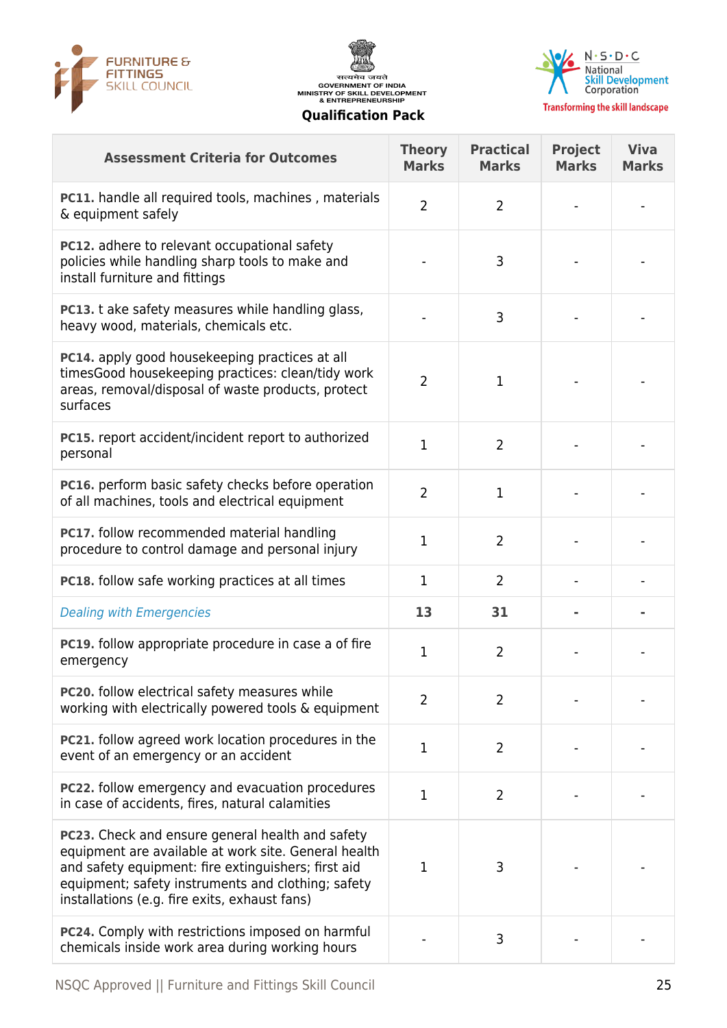





| <b>Assessment Criteria for Outcomes</b>                                                                                                                                                                                                                                | <b>Theory</b><br><b>Marks</b> | <b>Practical</b><br><b>Marks</b> | <b>Project</b><br><b>Marks</b> | <b>Viva</b><br><b>Marks</b> |
|------------------------------------------------------------------------------------------------------------------------------------------------------------------------------------------------------------------------------------------------------------------------|-------------------------------|----------------------------------|--------------------------------|-----------------------------|
| <b>PC11.</b> handle all required tools, machines, materials<br>& equipment safely                                                                                                                                                                                      | $\overline{2}$                | $\overline{2}$                   |                                |                             |
| <b>PC12.</b> adhere to relevant occupational safety<br>policies while handling sharp tools to make and<br>install furniture and fittings                                                                                                                               |                               | 3                                |                                |                             |
| PC13. t ake safety measures while handling glass,<br>heavy wood, materials, chemicals etc.                                                                                                                                                                             |                               | 3                                |                                |                             |
| PC14. apply good housekeeping practices at all<br>timesGood housekeeping practices: clean/tidy work<br>areas, removal/disposal of waste products, protect<br>surfaces                                                                                                  | $\overline{2}$                | 1                                |                                |                             |
| PC15. report accident/incident report to authorized<br>personal                                                                                                                                                                                                        | $\mathbf{1}$                  | $\overline{2}$                   |                                |                             |
| PC16. perform basic safety checks before operation<br>of all machines, tools and electrical equipment                                                                                                                                                                  | $\overline{2}$                | $\mathbf{1}$                     |                                |                             |
| PC17. follow recommended material handling<br>procedure to control damage and personal injury                                                                                                                                                                          | 1                             | $\overline{2}$                   |                                |                             |
| <b>PC18.</b> follow safe working practices at all times                                                                                                                                                                                                                | 1                             | 2                                |                                |                             |
| <b>Dealing with Emergencies</b>                                                                                                                                                                                                                                        | 13                            | 31                               |                                |                             |
| PC19. follow appropriate procedure in case a of fire<br>emergency                                                                                                                                                                                                      | $\mathbf 1$                   | $\overline{2}$                   |                                |                             |
| PC20. follow electrical safety measures while<br>working with electrically powered tools & equipment                                                                                                                                                                   | 2                             | $\overline{2}$                   |                                |                             |
| <b>PC21.</b> follow agreed work location procedures in the<br>event of an emergency or an accident                                                                                                                                                                     | $\mathbf 1$                   | $\overline{2}$                   |                                |                             |
| <b>PC22.</b> follow emergency and evacuation procedures<br>in case of accidents, fires, natural calamities                                                                                                                                                             | $\mathbf{1}$                  | $\overline{2}$                   |                                |                             |
| PC23. Check and ensure general health and safety<br>equipment are available at work site. General health<br>and safety equipment: fire extinguishers; first aid<br>equipment; safety instruments and clothing; safety<br>installations (e.g. fire exits, exhaust fans) | 1                             | 3                                |                                |                             |
| PC24. Comply with restrictions imposed on harmful<br>chemicals inside work area during working hours                                                                                                                                                                   |                               | 3                                |                                |                             |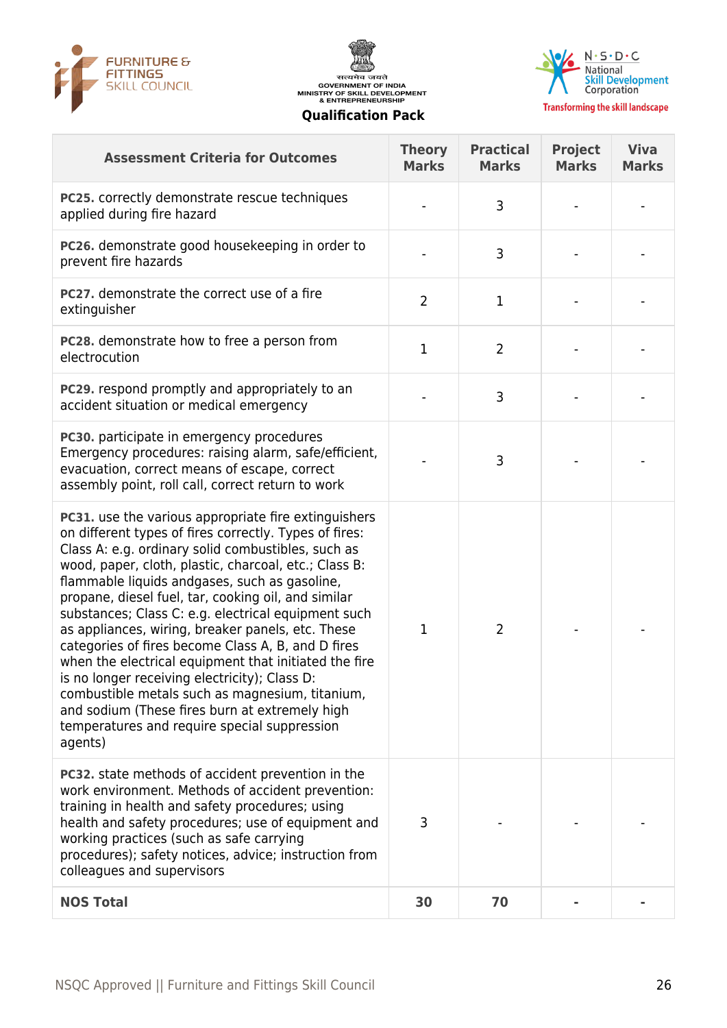





| <b>Assessment Criteria for Outcomes</b>                                                                                                                                                                                                                                                                                                                                                                                                                                                                                                                                                                                                                                                                                                                                                  | <b>Theory</b><br><b>Marks</b> | <b>Practical</b><br><b>Marks</b> | <b>Project</b><br><b>Marks</b> | <b>Viva</b><br><b>Marks</b> |
|------------------------------------------------------------------------------------------------------------------------------------------------------------------------------------------------------------------------------------------------------------------------------------------------------------------------------------------------------------------------------------------------------------------------------------------------------------------------------------------------------------------------------------------------------------------------------------------------------------------------------------------------------------------------------------------------------------------------------------------------------------------------------------------|-------------------------------|----------------------------------|--------------------------------|-----------------------------|
| PC25. correctly demonstrate rescue techniques<br>applied during fire hazard                                                                                                                                                                                                                                                                                                                                                                                                                                                                                                                                                                                                                                                                                                              |                               | 3                                |                                |                             |
| PC26. demonstrate good housekeeping in order to<br>prevent fire hazards                                                                                                                                                                                                                                                                                                                                                                                                                                                                                                                                                                                                                                                                                                                  |                               | 3                                |                                |                             |
| <b>PC27.</b> demonstrate the correct use of a fire<br>extinguisher                                                                                                                                                                                                                                                                                                                                                                                                                                                                                                                                                                                                                                                                                                                       | $\overline{2}$                | 1                                |                                |                             |
| PC28. demonstrate how to free a person from<br>electrocution                                                                                                                                                                                                                                                                                                                                                                                                                                                                                                                                                                                                                                                                                                                             | $\mathbf 1$                   | $\overline{2}$                   |                                |                             |
| PC29. respond promptly and appropriately to an<br>accident situation or medical emergency                                                                                                                                                                                                                                                                                                                                                                                                                                                                                                                                                                                                                                                                                                |                               | 3                                |                                |                             |
| PC30. participate in emergency procedures<br>Emergency procedures: raising alarm, safe/efficient,<br>evacuation, correct means of escape, correct<br>assembly point, roll call, correct return to work                                                                                                                                                                                                                                                                                                                                                                                                                                                                                                                                                                                   |                               | 3                                |                                |                             |
| <b>PC31.</b> use the various appropriate fire extinguishers<br>on different types of fires correctly. Types of fires:<br>Class A: e.g. ordinary solid combustibles, such as<br>wood, paper, cloth, plastic, charcoal, etc.; Class B:<br>flammable liquids andgases, such as gasoline,<br>propane, diesel fuel, tar, cooking oil, and similar<br>substances; Class C: e.g. electrical equipment such<br>as appliances, wiring, breaker panels, etc. These<br>categories of fires become Class A, B, and D fires<br>when the electrical equipment that initiated the fire<br>is no longer receiving electricity); Class D:<br>combustible metals such as magnesium, titanium,<br>and sodium (These fires burn at extremely high<br>temperatures and require special suppression<br>agents) | 1                             | $\overline{2}$                   |                                |                             |
| <b>PC32.</b> state methods of accident prevention in the<br>work environment. Methods of accident prevention:<br>training in health and safety procedures; using<br>health and safety procedures; use of equipment and<br>working practices (such as safe carrying<br>procedures); safety notices, advice; instruction from<br>colleagues and supervisors                                                                                                                                                                                                                                                                                                                                                                                                                                | 3                             |                                  |                                |                             |
| <b>NOS Total</b>                                                                                                                                                                                                                                                                                                                                                                                                                                                                                                                                                                                                                                                                                                                                                                         | 30                            | 70                               |                                |                             |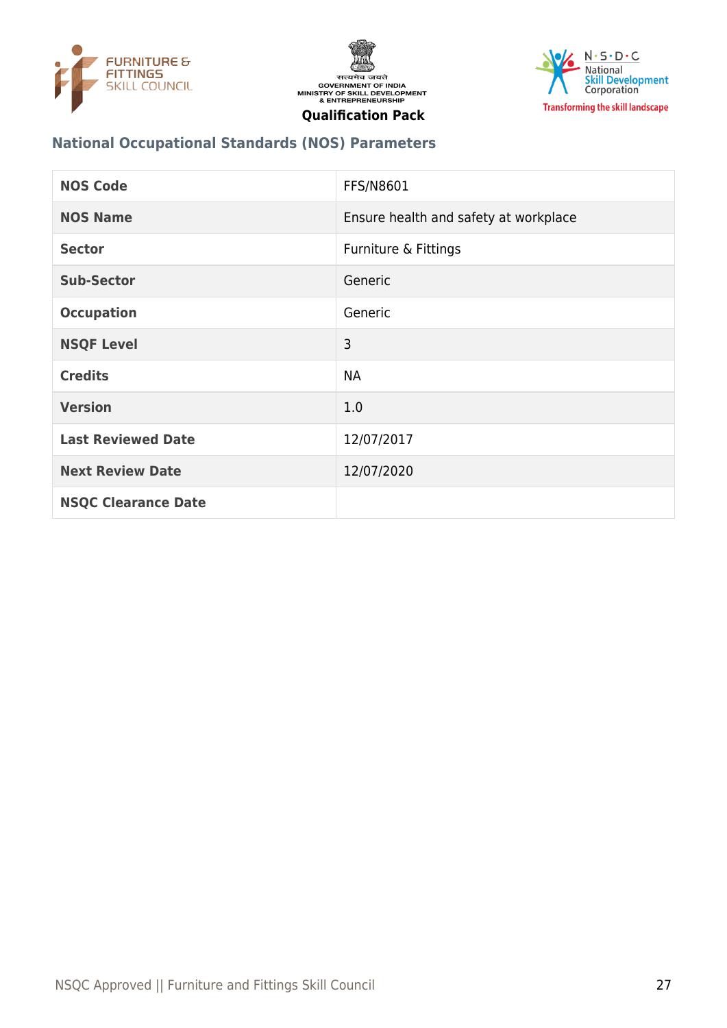





# **National Occupational Standards (NOS) Parameters**

| <b>NOS Code</b>            | FFS/N8601                             |
|----------------------------|---------------------------------------|
| <b>NOS Name</b>            | Ensure health and safety at workplace |
| <b>Sector</b>              | Furniture & Fittings                  |
| <b>Sub-Sector</b>          | Generic                               |
| <b>Occupation</b>          | Generic                               |
| <b>NSQF Level</b>          | 3                                     |
| <b>Credits</b>             | <b>NA</b>                             |
| <b>Version</b>             | 1.0                                   |
| <b>Last Reviewed Date</b>  | 12/07/2017                            |
| <b>Next Review Date</b>    | 12/07/2020                            |
| <b>NSQC Clearance Date</b> |                                       |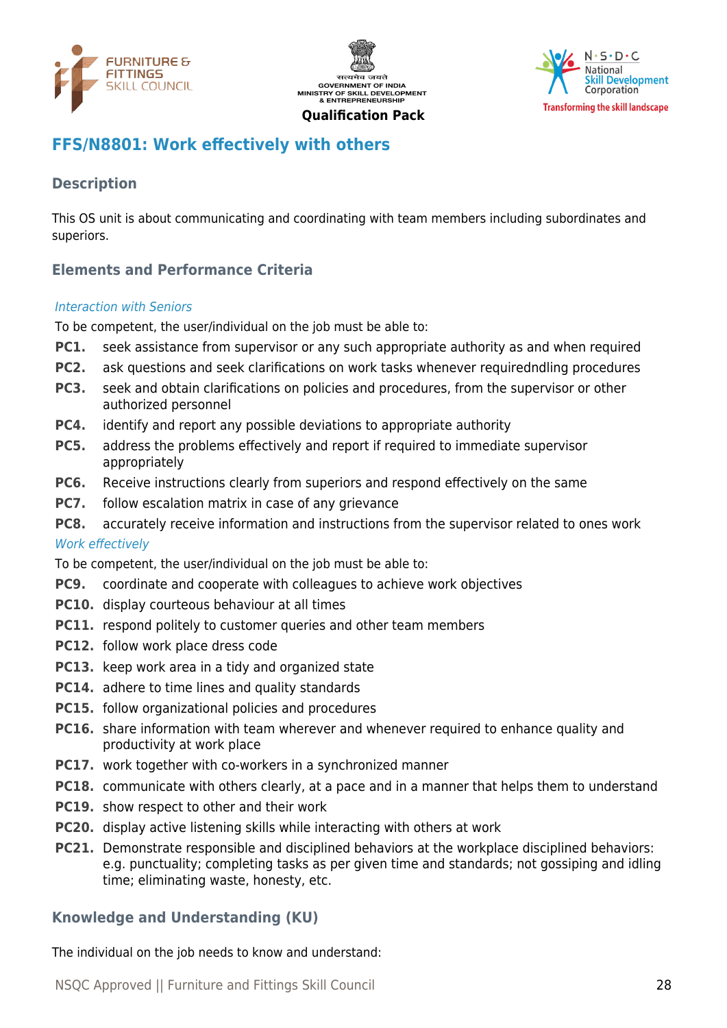





# <span id="page-27-0"></span>**FFS/N8801: Work effectively with others**

# **Description**

This OS unit is about communicating and coordinating with team members including subordinates and superiors.

# **Elements and Performance Criteria**

#### Interaction with Seniors

To be competent, the user/individual on the job must be able to:

- **PC1.** seek assistance from supervisor or any such appropriate authority as and when required
- **PC2.** ask questions and seek clarifications on work tasks whenever requiredndling procedures
- **PC3.** seek and obtain clarifications on policies and procedures, from the supervisor or other authorized personnel
- **PC4.** identify and report any possible deviations to appropriate authority
- **PC5.** address the problems effectively and report if required to immediate supervisor appropriately
- **PC6.** Receive instructions clearly from superiors and respond effectively on the same
- **PC7.** follow escalation matrix in case of any grievance
- **PC8.** accurately receive information and instructions from the supervisor related to ones work

#### Work effectively

To be competent, the user/individual on the job must be able to:

- **PC9.** coordinate and cooperate with colleagues to achieve work objectives
- **PC10.** display courteous behaviour at all times
- **PC11.** respond politely to customer queries and other team members
- **PC12.** follow work place dress code
- **PC13.** keep work area in a tidy and organized state
- **PC14.** adhere to time lines and quality standards
- **PC15.** follow organizational policies and procedures
- **PC16.** share information with team wherever and whenever required to enhance quality and productivity at work place
- **PC17.** work together with co-workers in a synchronized manner
- **PC18.** communicate with others clearly, at a pace and in a manner that helps them to understand
- **PC19.** show respect to other and their work
- **PC20.** display active listening skills while interacting with others at work
- **PC21.** Demonstrate responsible and disciplined behaviors at the workplace disciplined behaviors: e.g. punctuality; completing tasks as per given time and standards; not gossiping and idling time; eliminating waste, honesty, etc.

#### **Knowledge and Understanding (KU)**

The individual on the job needs to know and understand: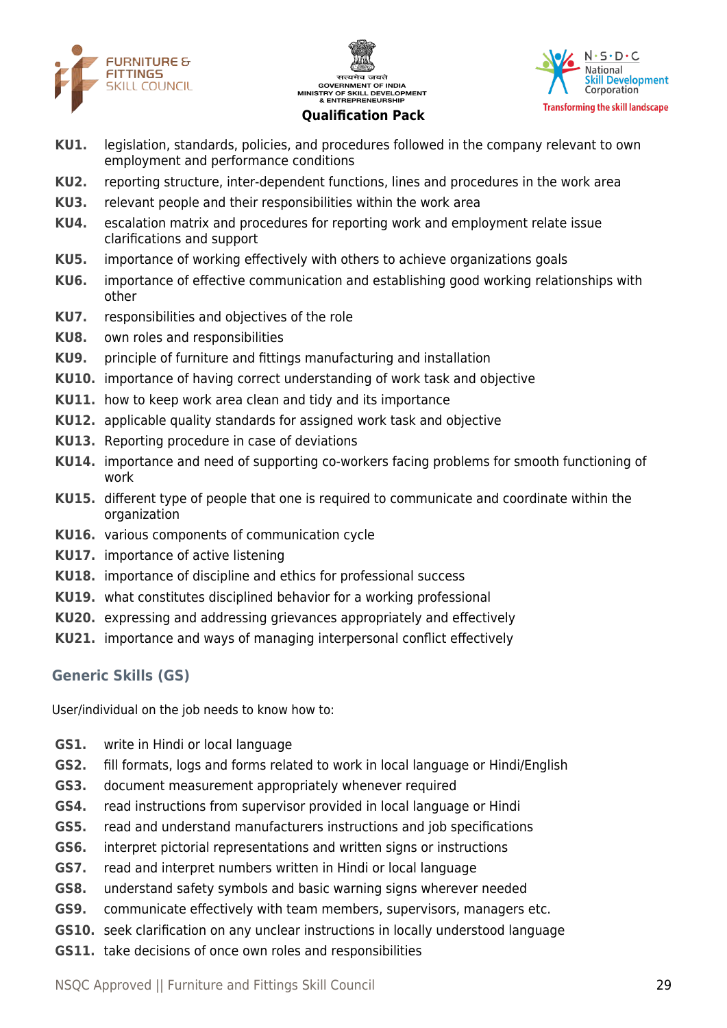





- **KU1.** legislation, standards, policies, and procedures followed in the company relevant to own employment and performance conditions
- **KU2.** reporting structure, inter-dependent functions, lines and procedures in the work area
- **KU3.** relevant people and their responsibilities within the work area
- **KU4.** escalation matrix and procedures for reporting work and employment relate issue clarifications and support
- **KU5.** importance of working effectively with others to achieve organizations goals
- **KU6.** importance of effective communication and establishing good working relationships with other
- **KU7.** responsibilities and objectives of the role
- **KU8.** own roles and responsibilities
- **KU9.** principle of furniture and fittings manufacturing and installation
- **KU10.** importance of having correct understanding of work task and objective
- **KU11.** how to keep work area clean and tidy and its importance
- **KU12.** applicable quality standards for assigned work task and objective
- **KU13.** Reporting procedure in case of deviations
- **KU14.** importance and need of supporting co-workers facing problems for smooth functioning of work
- **KU15.** different type of people that one is required to communicate and coordinate within the organization
- **KU16.** various components of communication cycle
- **KU17.** importance of active listening
- **KU18.** importance of discipline and ethics for professional success
- **KU19.** what constitutes disciplined behavior for a working professional
- **KU20.** expressing and addressing grievances appropriately and effectively
- **KU21.** importance and ways of managing interpersonal conflict effectively

# **Generic Skills (GS)**

User/individual on the job needs to know how to:

- **GS1.** write in Hindi or local language
- **GS2.** fill formats, logs and forms related to work in local language or Hindi/English
- **GS3.** document measurement appropriately whenever required
- **GS4.** read instructions from supervisor provided in local language or Hindi
- **GS5.** read and understand manufacturers instructions and job specifications
- **GS6.** interpret pictorial representations and written signs or instructions
- **GS7.** read and interpret numbers written in Hindi or local language
- **GS8.** understand safety symbols and basic warning signs wherever needed
- **GS9.** communicate effectively with team members, supervisors, managers etc.
- **GS10.** seek clarification on any unclear instructions in locally understood language
- **GS11.** take decisions of once own roles and responsibilities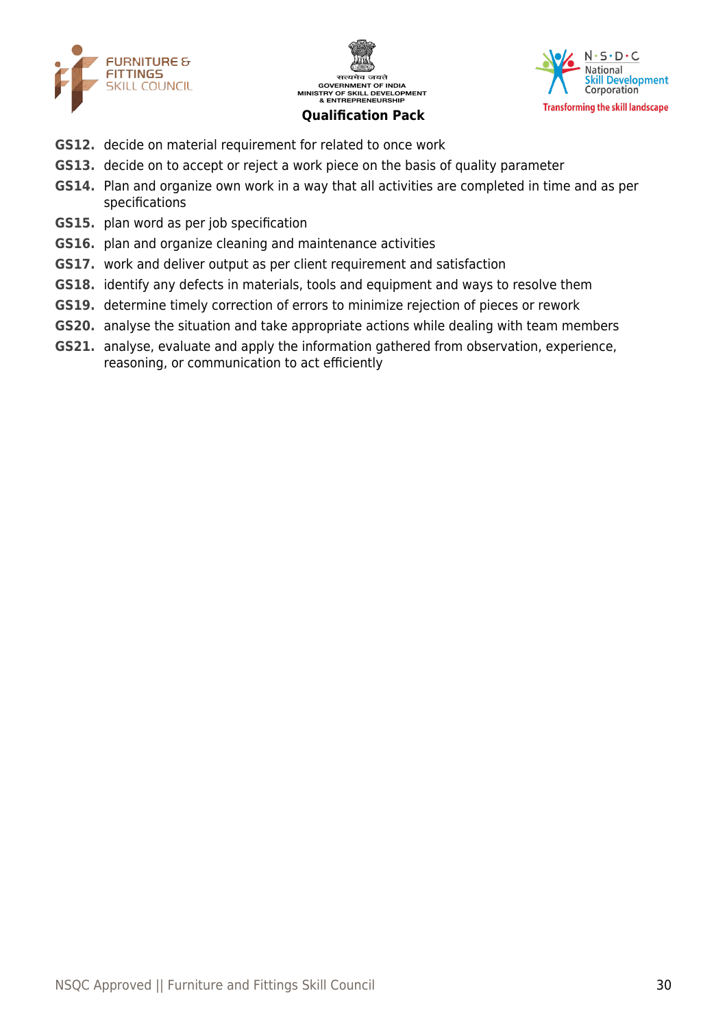





- **GS12.** decide on material requirement for related to once work
- **GS13.** decide on to accept or reject a work piece on the basis of quality parameter
- **GS14.** Plan and organize own work in a way that all activities are completed in time and as per specifications
- **GS15.** plan word as per job specification
- **GS16.** plan and organize cleaning and maintenance activities
- **GS17.** work and deliver output as per client requirement and satisfaction
- **GS18.** identify any defects in materials, tools and equipment and ways to resolve them
- **GS19.** determine timely correction of errors to minimize rejection of pieces or rework
- **GS20.** analyse the situation and take appropriate actions while dealing with team members
- **GS21.** analyse, evaluate and apply the information gathered from observation, experience, reasoning, or communication to act efficiently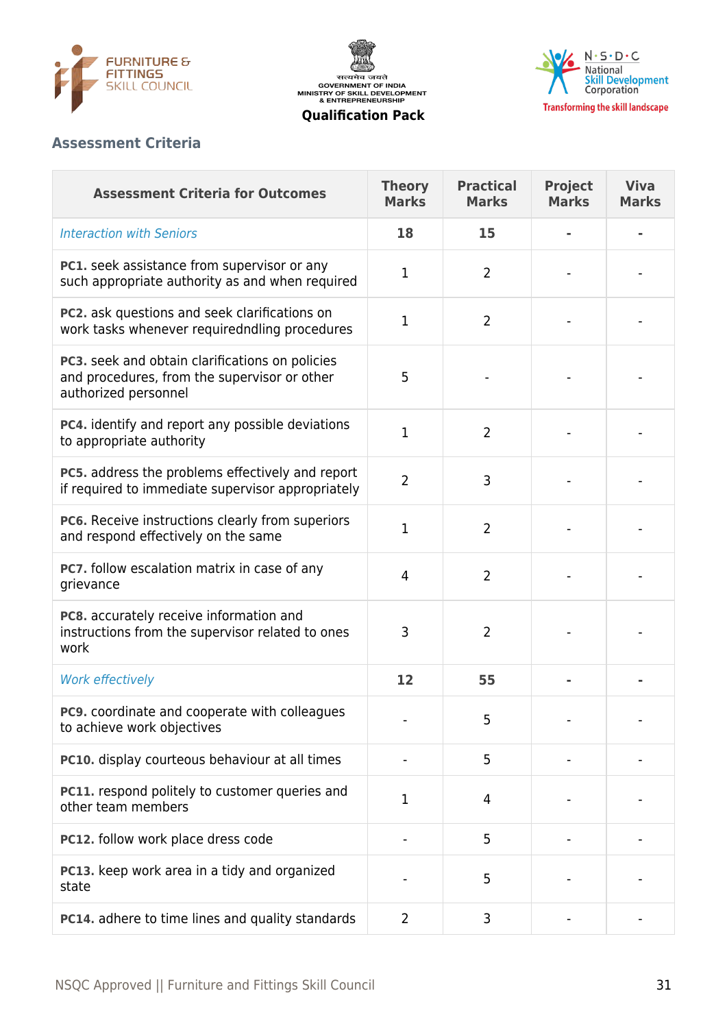

सत्यमेव जयते<br>GOVERNMENT OF INDIA<br>MINISTRY OF SKILL DEVELOPMENT<br>& ENTREPRENEURSHIP



**Qualification Pack**

# **Assessment Criteria**

| <b>Assessment Criteria for Outcomes</b>                                                                                 | <b>Theory</b><br><b>Marks</b> | <b>Practical</b><br><b>Marks</b> | <b>Project</b><br><b>Marks</b> | <b>Viva</b><br><b>Marks</b> |
|-------------------------------------------------------------------------------------------------------------------------|-------------------------------|----------------------------------|--------------------------------|-----------------------------|
| <b>Interaction with Seniors</b>                                                                                         | 18                            | 15                               |                                |                             |
| PC1. seek assistance from supervisor or any<br>such appropriate authority as and when required                          | 1                             | $\overline{2}$                   |                                |                             |
| PC2. ask questions and seek clarifications on<br>work tasks whenever requiredndling procedures                          | 1                             | $\overline{2}$                   |                                |                             |
| PC3. seek and obtain clarifications on policies<br>and procedures, from the supervisor or other<br>authorized personnel | 5                             |                                  |                                |                             |
| PC4. identify and report any possible deviations<br>to appropriate authority                                            | 1                             | $\overline{2}$                   |                                |                             |
| PC5. address the problems effectively and report<br>if required to immediate supervisor appropriately                   | $\overline{2}$                | 3                                |                                |                             |
| PC6. Receive instructions clearly from superiors<br>and respond effectively on the same                                 | 1                             | $\overline{2}$                   |                                |                             |
| PC7. follow escalation matrix in case of any<br>grievance                                                               | $\overline{4}$                | $\overline{2}$                   |                                |                             |
| PC8. accurately receive information and<br>instructions from the supervisor related to ones<br>work                     | 3                             | $\overline{2}$                   |                                |                             |
| Work effectively                                                                                                        | 12                            | 55                               |                                |                             |
| PC9. coordinate and cooperate with colleagues<br>to achieve work objectives                                             |                               | 5                                |                                |                             |
| PC10. display courteous behaviour at all times                                                                          |                               | 5                                |                                |                             |
| PC11. respond politely to customer queries and<br>other team members                                                    | 1                             | 4                                |                                |                             |
| PC12. follow work place dress code                                                                                      |                               | 5                                |                                |                             |
| PC13. keep work area in a tidy and organized<br>state                                                                   |                               | 5                                |                                |                             |
| PC14. adhere to time lines and quality standards                                                                        | $\overline{2}$                | 3                                |                                |                             |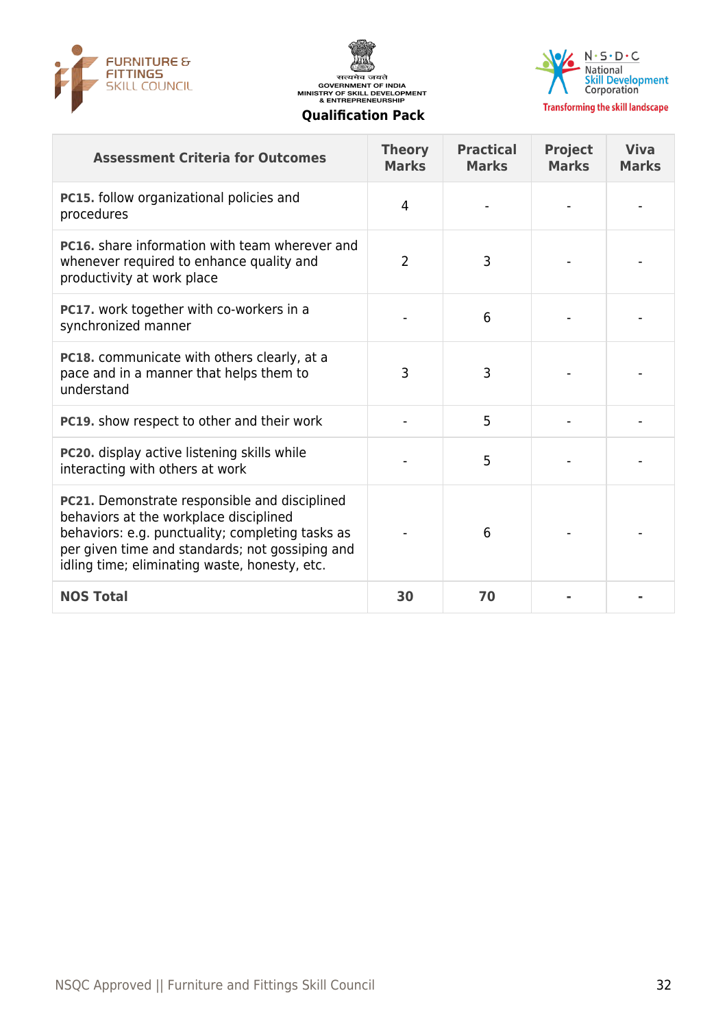





**Transforming the skill landscape** 

| <b>Assessment Criteria for Outcomes</b>                                                                                                                                                                                                         | <b>Theory</b><br><b>Marks</b> | <b>Practical</b><br><b>Marks</b> | <b>Project</b><br><b>Marks</b> | <b>Viva</b><br><b>Marks</b> |
|-------------------------------------------------------------------------------------------------------------------------------------------------------------------------------------------------------------------------------------------------|-------------------------------|----------------------------------|--------------------------------|-----------------------------|
| PC15. follow organizational policies and<br>procedures                                                                                                                                                                                          | 4                             |                                  |                                |                             |
| <b>PC16.</b> share information with team wherever and<br>whenever required to enhance quality and<br>productivity at work place                                                                                                                 | $\overline{2}$                | 3                                |                                |                             |
| PC17. work together with co-workers in a<br>synchronized manner                                                                                                                                                                                 |                               | 6                                |                                |                             |
| PC18. communicate with others clearly, at a<br>pace and in a manner that helps them to<br>understand                                                                                                                                            | 3                             | 3                                |                                |                             |
| PC19. show respect to other and their work                                                                                                                                                                                                      |                               | 5                                |                                |                             |
| PC20. display active listening skills while<br>interacting with others at work                                                                                                                                                                  |                               | 5                                |                                |                             |
| PC21. Demonstrate responsible and disciplined<br>behaviors at the workplace disciplined<br>behaviors: e.g. punctuality; completing tasks as<br>per given time and standards; not gossiping and<br>idling time; eliminating waste, honesty, etc. |                               | 6                                |                                |                             |
| <b>NOS Total</b>                                                                                                                                                                                                                                | 30                            | 70                               |                                |                             |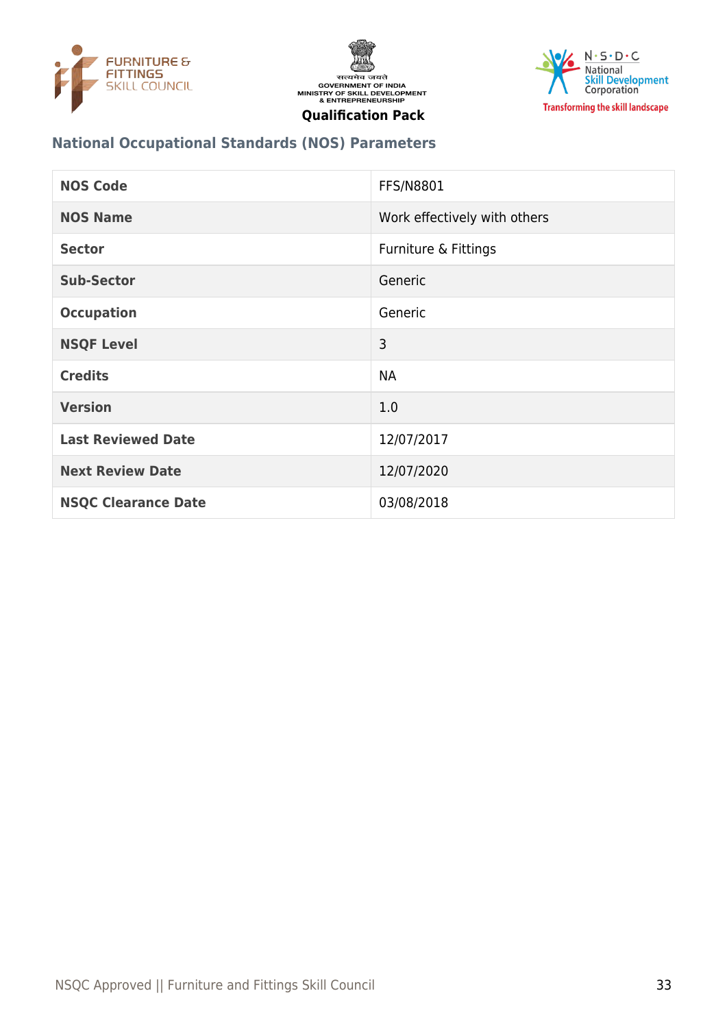





# **National Occupational Standards (NOS) Parameters**

| <b>NOS Code</b>            | <b>FFS/N8801</b>             |
|----------------------------|------------------------------|
| <b>NOS Name</b>            | Work effectively with others |
| <b>Sector</b>              | Furniture & Fittings         |
| <b>Sub-Sector</b>          | Generic                      |
| <b>Occupation</b>          | Generic                      |
| <b>NSQF Level</b>          | 3                            |
| <b>Credits</b>             | <b>NA</b>                    |
| <b>Version</b>             | 1.0                          |
| <b>Last Reviewed Date</b>  | 12/07/2017                   |
| <b>Next Review Date</b>    | 12/07/2020                   |
| <b>NSQC Clearance Date</b> | 03/08/2018                   |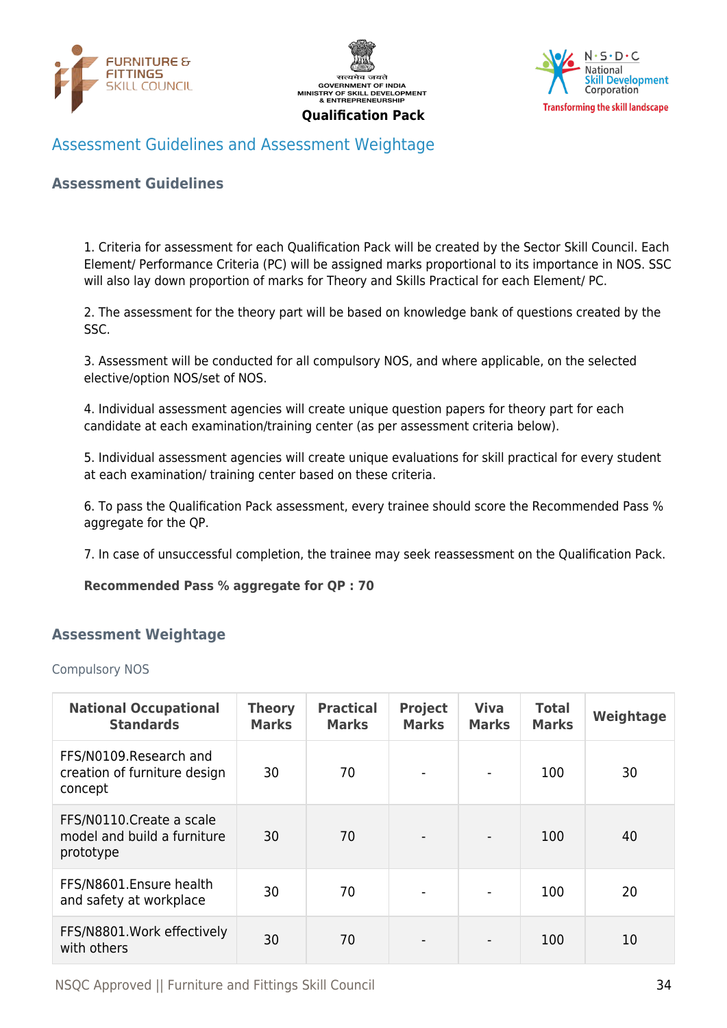





# <span id="page-33-0"></span>Assessment Guidelines and Assessment Weightage

#### **Assessment Guidelines**

1. Criteria for assessment for each Qualification Pack will be created by the Sector Skill Council. Each Element/ Performance Criteria (PC) will be assigned marks proportional to its importance in NOS. SSC will also lay down proportion of marks for Theory and Skills Practical for each Element/ PC.

2. The assessment for the theory part will be based on knowledge bank of questions created by the SSC.

3. Assessment will be conducted for all compulsory NOS, and where applicable, on the selected elective/option NOS/set of NOS.

4. Individual assessment agencies will create unique question papers for theory part for each candidate at each examination/training center (as per assessment criteria below).

5. Individual assessment agencies will create unique evaluations for skill practical for every student at each examination/ training center based on these criteria.

6. To pass the Qualification Pack assessment, every trainee should score the Recommended Pass % aggregate for the QP.

7. In case of unsuccessful completion, the trainee may seek reassessment on the Qualification Pack.

#### **Recommended Pass % aggregate for QP : 70**

#### <span id="page-33-1"></span>**Assessment Weightage**

Compulsory NOS

| <b>National Occupational</b><br><b>Standards</b>                      | <b>Theory</b><br><b>Marks</b> | <b>Practical</b><br><b>Marks</b> | <b>Project</b><br><b>Marks</b> | <b>Viva</b><br><b>Marks</b> | <b>Total</b><br><b>Marks</b> | Weightage |
|-----------------------------------------------------------------------|-------------------------------|----------------------------------|--------------------------------|-----------------------------|------------------------------|-----------|
| FFS/N0109.Research and<br>creation of furniture design<br>concept     | 30                            | 70                               | $\blacksquare$                 | $\overline{\phantom{a}}$    | 100                          | 30        |
| FFS/N0110. Create a scale<br>model and build a furniture<br>prototype | 30                            | 70                               | $\overline{\phantom{a}}$       | $\blacksquare$              | 100                          | 40        |
| FFS/N8601.Ensure health<br>and safety at workplace                    | 30                            | 70                               | $\blacksquare$                 | $\blacksquare$              | 100                          | 20        |
| FFS/N8801. Work effectively<br>with others                            | 30                            | 70                               |                                | $\blacksquare$              | 100                          | 10        |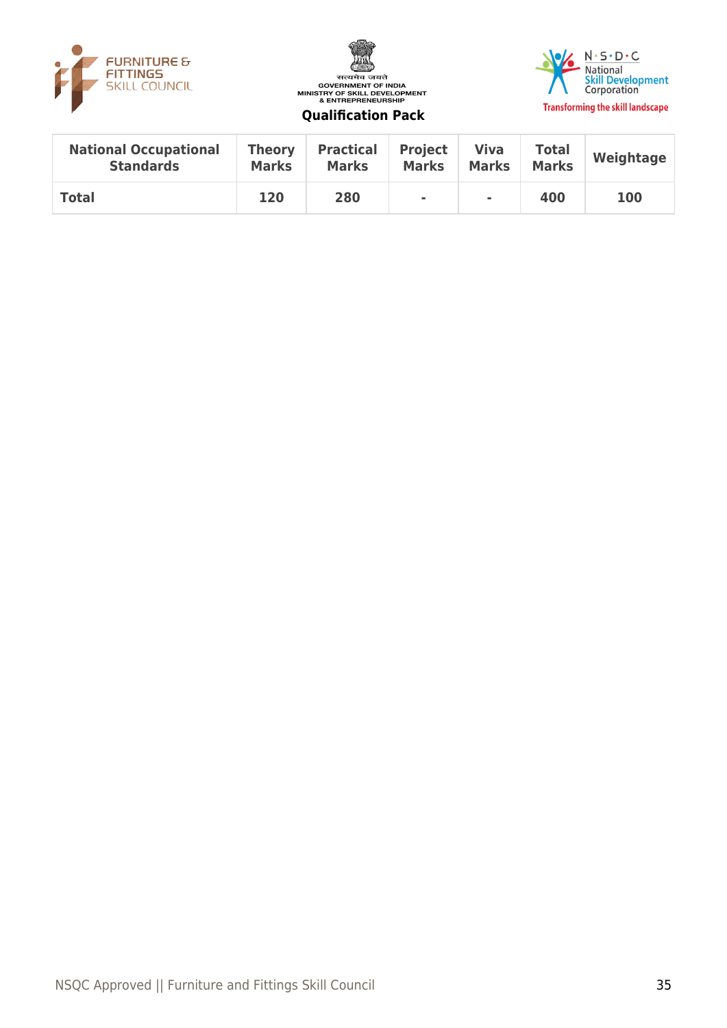





| <b>National Occupational</b> | <b>Theory</b> | <b>Practical</b> | <b>Project</b> | <b>Viva</b>  | <b>Total</b> | Weightage  |
|------------------------------|---------------|------------------|----------------|--------------|--------------|------------|
| <b>Standards</b>             | <b>Marks</b>  | <b>Marks</b>     | <b>Marks</b>   | <b>Marks</b> | <b>Marks</b> |            |
| <b>Total</b>                 | 120           | 280              | $\sim$         | ٠            | 400          | <b>100</b> |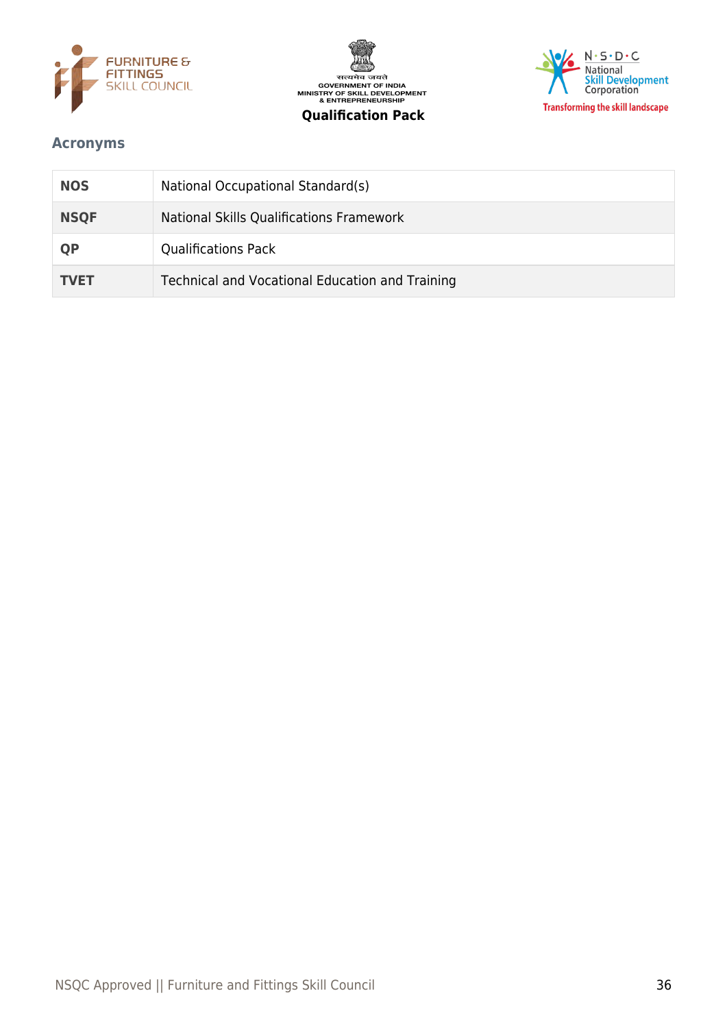





# <span id="page-35-0"></span>**Acronyms**

| <b>NOS</b>  | National Occupational Standard(s)               |
|-------------|-------------------------------------------------|
| <b>NSQF</b> | National Skills Qualifications Framework        |
| <b>QP</b>   | <b>Qualifications Pack</b>                      |
| <b>TVET</b> | Technical and Vocational Education and Training |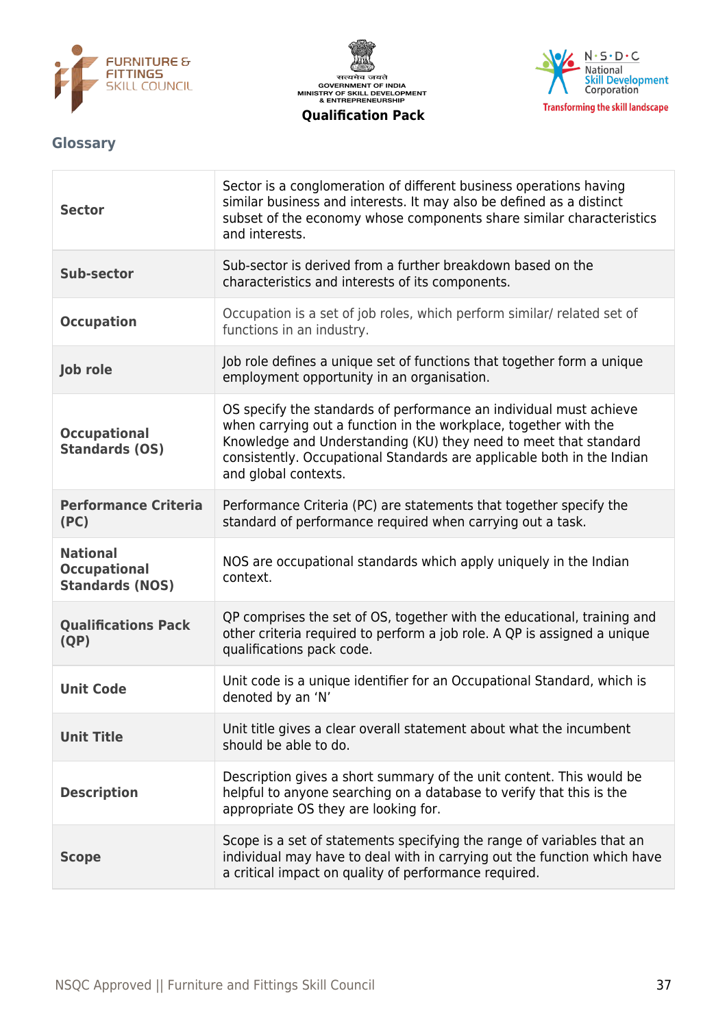





# <span id="page-36-0"></span>**Glossary**

| <b>Sector</b>                                                    | Sector is a conglomeration of different business operations having<br>similar business and interests. It may also be defined as a distinct<br>subset of the economy whose components share similar characteristics<br>and interests.                                                                         |
|------------------------------------------------------------------|--------------------------------------------------------------------------------------------------------------------------------------------------------------------------------------------------------------------------------------------------------------------------------------------------------------|
| <b>Sub-sector</b>                                                | Sub-sector is derived from a further breakdown based on the<br>characteristics and interests of its components.                                                                                                                                                                                              |
| <b>Occupation</b>                                                | Occupation is a set of job roles, which perform similar/ related set of<br>functions in an industry.                                                                                                                                                                                                         |
| Job role                                                         | Job role defines a unique set of functions that together form a unique<br>employment opportunity in an organisation.                                                                                                                                                                                         |
| <b>Occupational</b><br><b>Standards (OS)</b>                     | OS specify the standards of performance an individual must achieve<br>when carrying out a function in the workplace, together with the<br>Knowledge and Understanding (KU) they need to meet that standard<br>consistently. Occupational Standards are applicable both in the Indian<br>and global contexts. |
| <b>Performance Criteria</b><br>(PC)                              | Performance Criteria (PC) are statements that together specify the<br>standard of performance required when carrying out a task.                                                                                                                                                                             |
| <b>National</b><br><b>Occupational</b><br><b>Standards (NOS)</b> | NOS are occupational standards which apply uniquely in the Indian<br>context.                                                                                                                                                                                                                                |
| <b>Qualifications Pack</b><br>(QP)                               | QP comprises the set of OS, together with the educational, training and<br>other criteria required to perform a job role. A QP is assigned a unique<br>qualifications pack code.                                                                                                                             |
| <b>Unit Code</b>                                                 | Unit code is a unique identifier for an Occupational Standard, which is<br>denoted by an 'N'                                                                                                                                                                                                                 |
| <b>Unit Title</b>                                                | Unit title gives a clear overall statement about what the incumbent<br>should be able to do.                                                                                                                                                                                                                 |
| <b>Description</b>                                               | Description gives a short summary of the unit content. This would be<br>helpful to anyone searching on a database to verify that this is the<br>appropriate OS they are looking for.                                                                                                                         |
| <b>Scope</b>                                                     | Scope is a set of statements specifying the range of variables that an<br>individual may have to deal with in carrying out the function which have<br>a critical impact on quality of performance required.                                                                                                  |